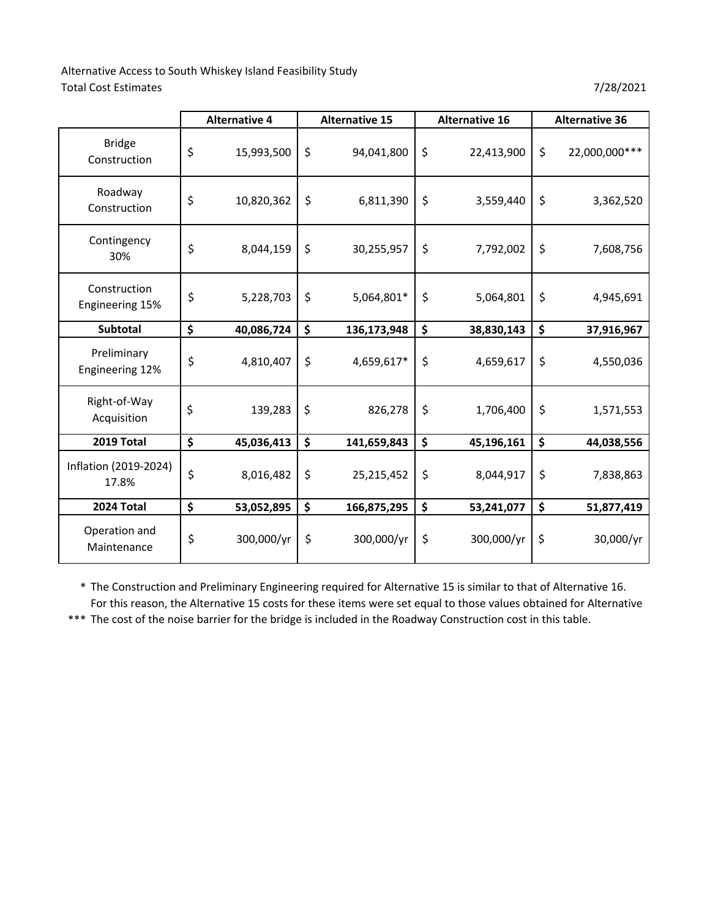Alternative Access to South Whiskey Island Feasibility Study Total Cost Estimates 7/28/2021

|                                 | <b>Alternative 4</b> | <b>Alternative 15</b> | <b>Alternative 16</b> |         | <b>Alternative 36</b> |
|---------------------------------|----------------------|-----------------------|-----------------------|---------|-----------------------|
| <b>Bridge</b><br>Construction   | \$<br>15,993,500     | \$<br>94,041,800      | \$<br>22,413,900      | \$      | 22,000,000 ***        |
| Roadway<br>Construction         | \$<br>10,820,362     | \$<br>6,811,390       | \$<br>3,559,440       | \$      | 3,362,520             |
| Contingency<br>30%              | \$<br>8,044,159      | \$<br>30,255,957      | \$<br>7,792,002       | \$      | 7,608,756             |
| Construction<br>Engineering 15% | \$<br>5,228,703      | \$<br>5,064,801*      | \$<br>5,064,801       | \$      | 4,945,691             |
| Subtotal                        | \$<br>40,086,724     | \$<br>136,173,948     | \$<br>38,830,143      | \$      | 37,916,967            |
| Preliminary<br>Engineering 12%  | \$<br>4,810,407      | \$<br>4,659,617*      | \$<br>4,659,617       | \$      | 4,550,036             |
| Right-of-Way<br>Acquisition     | \$<br>139,283        | \$<br>826,278         | \$<br>1,706,400       | $\zeta$ | 1,571,553             |
| 2019 Total                      | \$<br>45,036,413     | \$<br>141,659,843     | \$<br>45,196,161      | \$      | 44,038,556            |
| Inflation (2019-2024)<br>17.8%  | \$<br>8,016,482      | \$<br>25,215,452      | \$<br>8,044,917       | \$      | 7,838,863             |
| 2024 Total                      | \$<br>53,052,895     | \$<br>166,875,295     | \$<br>53,241,077      | \$      | 51,877,419            |
| Operation and<br>Maintenance    | \$<br>300,000/yr     | \$<br>300,000/yr      | \$<br>300,000/yr      | \$      | 30,000/yr             |

\* The Construction and Preliminary Engineering required for Alternative 15 is similar to that of Alternative 16. For this reason, the Alternative 15 costs for these items were set equal to those values obtained for Alternative

\*\*\* The cost of the noise barrier for the bridge is included in the Roadway Construction cost in this table.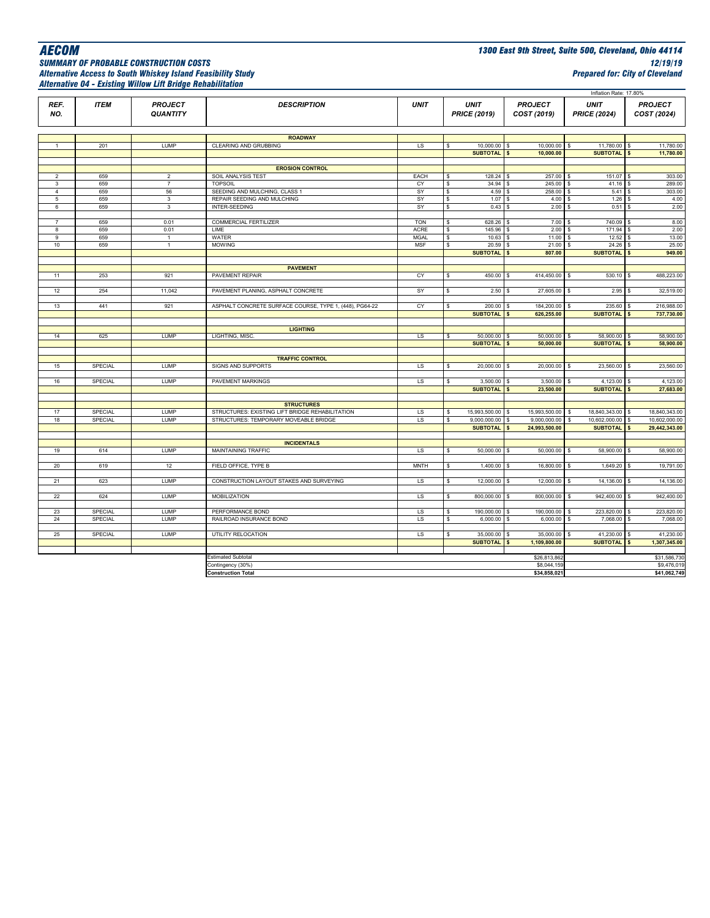# *Alternative Access to South Whiskey Island Feasibility Study Prepared for: City of Cleveland Alternative 04 - Existing Willow Lift Bridge Rehabilitation*

*AECOM 1300 East 9th Street, Suite 500, Cleveland, Ohio 44114 SUMMARY OF PROBABLE CONSTRUCTION COSTS 12/19/19*

|                     |                |                                   |                                                         |             |                     |                                 |                                    | Inflation Rate: 17.80%             |                                      |
|---------------------|----------------|-----------------------------------|---------------------------------------------------------|-------------|---------------------|---------------------------------|------------------------------------|------------------------------------|--------------------------------------|
| REF.<br>NO.         | <b>ITEM</b>    | <b>PROJECT</b><br><b>QUANTITY</b> | <b>DESCRIPTION</b>                                      | <b>UNIT</b> | <b>PRICE (2019)</b> | <b>UNIT</b>                     | <b>PROJECT</b><br>COST (2019)      | <b>UNIT</b><br><b>PRICE (2024)</b> | <b>PROJECT</b><br>COST (2024)        |
|                     |                |                                   |                                                         |             |                     |                                 |                                    |                                    |                                      |
|                     |                |                                   | <b>ROADWAY</b>                                          |             |                     |                                 |                                    |                                    |                                      |
| $\mathbf{1}$        | 201            | LUMP                              | CLEARING AND GRUBBING                                   | LS          | s                   | 10,000.00 \$                    | 10,000.00                          | $\mathsf{s}$<br>11,780.00 \$       | 11,780.00                            |
|                     |                |                                   |                                                         |             |                     | SUBTOTAL <sup>S</sup>           | 10,000.00                          | SUBTOTAL <sup>S</sup>              | 11,780.00                            |
|                     |                |                                   |                                                         |             |                     |                                 |                                    |                                    |                                      |
|                     |                |                                   | <b>EROSION CONTROL</b>                                  |             |                     |                                 |                                    |                                    |                                      |
| $\overline{2}$      | 659            | $\overline{2}$                    | SOIL ANALYSIS TEST                                      | EACH        | \$                  | 128.24 \$                       | 257.00 \$                          | 151.07                             | 303.00<br>$\mathsf{S}$               |
| 3<br>$\overline{4}$ | 659<br>659     | $\overline{7}$<br>56              | <b>TOPSOIL</b><br>SEEDING AND MULCHING, CLASS 1         | CY<br>SY    | \$<br>\$            | 34.94 \$<br>4.59S               | 245.00 \$<br>$258.00$ \$           | $41.16$ \$<br>5.41S                | 289.00<br>303.00                     |
| 5                   | 659            | $\mathbf{3}$                      | REPAIR SEEDING AND MULCHING                             | SY          | \$                  | 1.07                            | 4.00S                              | $1.26$ \$                          | 4.00                                 |
| 6                   | 659            | 3                                 | INTER-SEEDING                                           | SY          | \$                  | 0.43                            | 2.00                               | $0.51$ \$<br>\$                    | 2.00                                 |
|                     |                |                                   |                                                         |             |                     |                                 |                                    |                                    |                                      |
| $\overline{7}$      | 659            | 0.01                              | <b>COMMERCIAL FERTILIZER</b>                            | <b>TON</b>  | \$                  | 628.26                          | 7.00 S                             | 740.09 \$                          | 8.00                                 |
| 8                   | 659            | 0.01                              | LIME                                                    | <b>ACRE</b> | \$                  | 145.96 \$                       | 2.00 S                             | 171.94 \$                          | 2.00                                 |
| 9                   | 659            | $\mathbf{1}$                      | WATER                                                   | <b>MGAL</b> | \$                  | 10.63                           | 11.00 S                            | 12.52S                             | 13.00                                |
| 10                  | 659            | $\mathbf{1}$                      | <b>MOWING</b>                                           | <b>MSF</b>  | \$                  | 20.59                           | 21.00                              | $24.26$ \$<br><b>S</b>             | 25.00                                |
|                     |                |                                   |                                                         |             |                     | <b>SUBTOTAL</b>                 | 807.00<br>$\mathbf{s}$             | SUBTOTAL \$                        | 949.00                               |
|                     |                |                                   |                                                         |             |                     |                                 |                                    |                                    |                                      |
|                     |                |                                   | <b>PAVEMENT</b>                                         |             |                     |                                 |                                    |                                    |                                      |
| 11                  | 253            | 921                               | PAVEMENT REPAIR                                         | CY          | \$                  | 450.00                          | 414,450.00                         | 530.10 \$<br>-S                    | 488,223.00                           |
|                     |                |                                   |                                                         |             |                     |                                 |                                    |                                    |                                      |
| 12                  | 254            | 11,042                            | PAVEMENT PLANING, ASPHALT CONCRETE                      | SY          | \$                  | 2.50S                           | 27,605.00 \$                       | $2.95$ \$                          | 32,519.00                            |
|                     |                |                                   |                                                         |             |                     |                                 |                                    |                                    |                                      |
| 13                  | 441            | 921                               | ASPHALT CONCRETE SURFACE COURSE, TYPE 1, (448), PG64-22 | CY          | \$                  | 200.00                          | 184,200.00                         | 235.60                             | 216,988.00<br>s.                     |
|                     |                |                                   |                                                         |             |                     | <b>SUBTOTAL</b>                 | 626,255.00                         | SUBTOTAL <sup>S</sup>              | 737,730.00                           |
|                     |                |                                   | <b>LIGHTING</b>                                         |             |                     |                                 |                                    |                                    |                                      |
| 14                  | 625            | <b>LUMP</b>                       | LIGHTING, MISC.                                         | LS          | s                   | $50,000.00$ \$                  | $50,000.00$ \$                     | 58,900.00 \$                       | 58,900.00                            |
|                     |                |                                   |                                                         |             |                     | <b>SUBTOTAL</b>                 | $\mathbf{s}$<br>50,000.00          | SUBTOTAL \$                        | 58,900.00                            |
|                     |                |                                   |                                                         |             |                     |                                 |                                    |                                    |                                      |
|                     |                |                                   | <b>TRAFFIC CONTROL</b>                                  |             |                     |                                 |                                    |                                    |                                      |
| 15                  | <b>SPECIAL</b> | LUMP                              | SIGNS AND SUPPORTS                                      | <b>LS</b>   | s                   | 20,000.00 \$                    | 20,000.00 \$                       | 23,560.00 \$                       | 23,560.00                            |
|                     |                |                                   |                                                         |             |                     |                                 |                                    |                                    |                                      |
| 16                  | SPECIAL        | LUMP                              | <b>PAVEMENT MARKINGS</b>                                | LS          | s                   | $3,500.00$ \$                   | $3,500.00$ \$                      | $4,123.00$ \$                      | 4,123.00                             |
|                     |                |                                   |                                                         |             |                     | <b>SUBTOTAL</b>                 | 23,500.00<br>$\mathsf{s}$          | SUBTOTAL <sup>S</sup>              | 27,683.00                            |
|                     |                |                                   |                                                         |             |                     |                                 |                                    |                                    |                                      |
|                     |                |                                   | <b>STRUCTURES</b>                                       |             |                     |                                 |                                    |                                    |                                      |
| 17                  | SPECIAL        | LUMP                              | STRUCTURES: EXISTING LIFT BRIDGE REHABILITATION         | LS          | \$                  | 15,993,500.00                   | 15,993,500.00<br>s                 | 18,840,343.00 \$<br>s              | 18,840,343.00                        |
| 18                  | SPECIAL        | <b>LUMP</b>                       | STRUCTURES: TEMPORARY MOVEABLE BRIDGE                   | <b>LS</b>   | \$                  | 9,000,000.00<br><b>SUBTOTAL</b> | 9,000,000.00<br>24,993,500.00<br>s | 10,602,000.00<br>s<br>SUBTOTAL \$  | 10,602,000.00<br>s.<br>29,442,343.00 |
|                     |                |                                   |                                                         |             |                     |                                 |                                    |                                    |                                      |
|                     |                |                                   | <b>INCIDENTALS</b>                                      |             |                     |                                 |                                    |                                    |                                      |
| 19                  | 614            | LUMP                              | MAINTAINING TRAFFIC                                     | <b>LS</b>   | s                   | 50,000.00                       | 50,000.00<br><b>S</b>              | 58,900.00<br><sub>S</sub>          | 58,900.00<br>s.                      |
|                     |                |                                   |                                                         |             |                     |                                 |                                    |                                    |                                      |
| 20                  | 619            | 12                                | FIELD OFFICE, TYPE B                                    | <b>MNTH</b> | s                   | $1,400.00$ \$                   | 16,800.00 \$                       | $1,649.20$ \$                      | 19,791.00                            |
|                     |                |                                   |                                                         |             |                     |                                 |                                    |                                    |                                      |
| 21                  | 623            | <b>LUMP</b>                       | CONSTRUCTION LAYOUT STAKES AND SURVEYING                | <b>LS</b>   | \$                  | 12,000.00 \$                    | 12,000.00 \$                       | 14,136.00 \$                       | 14,136.00                            |
|                     |                |                                   |                                                         |             |                     |                                 |                                    |                                    |                                      |
| 22                  | 624            | LUMP                              | <b>MOBILIZATION</b>                                     | <b>LS</b>   | \$                  | 800,000.00                      | 800,000.00 \$<br>s                 | 942,400.00 \$                      | 942,400.00                           |
|                     |                |                                   |                                                         |             |                     |                                 |                                    |                                    |                                      |
| 23                  | SPECIAL        | LUMP                              | PERFORMANCE BOND                                        | LS          | \$                  | 190,000.00 \$                   | 190,000.00 \$                      | 223,820.00 \$                      | 223,820.00                           |
| 24                  | SPECIAL        | <b>LUMP</b>                       | RAILROAD INSURANCE BOND                                 | <b>LS</b>   | s                   | $6,000.00$ \$                   | $6,000.00$ \$                      | 7,068.00 \$                        | 7,068.00                             |
|                     |                |                                   |                                                         |             |                     |                                 |                                    |                                    |                                      |
| 25                  | SPECIAL        | LUMP                              | UTILITY RELOCATION                                      | LS          | s                   | 35,000.00 \$                    | 35,000.00 \$                       | 41,230.00 \$                       | 41,230.00                            |
|                     |                |                                   |                                                         |             |                     | SUBTOTAL \$                     | 1,109,800.00                       | SUBTOTAL \$                        | 1,307,345.00                         |
|                     |                |                                   |                                                         |             |                     |                                 |                                    |                                    |                                      |
|                     |                |                                   | <b>Estimated Subtotal</b>                               |             |                     |                                 | \$26,813,862                       |                                    | \$31,586,730                         |
|                     |                |                                   | Contingency (30%)<br><b>Construction Total</b>          |             |                     |                                 | \$8,044,159<br>\$34,858,021        |                                    | \$9,476,019<br>\$41,062,749          |
|                     |                |                                   |                                                         |             |                     |                                 |                                    |                                    |                                      |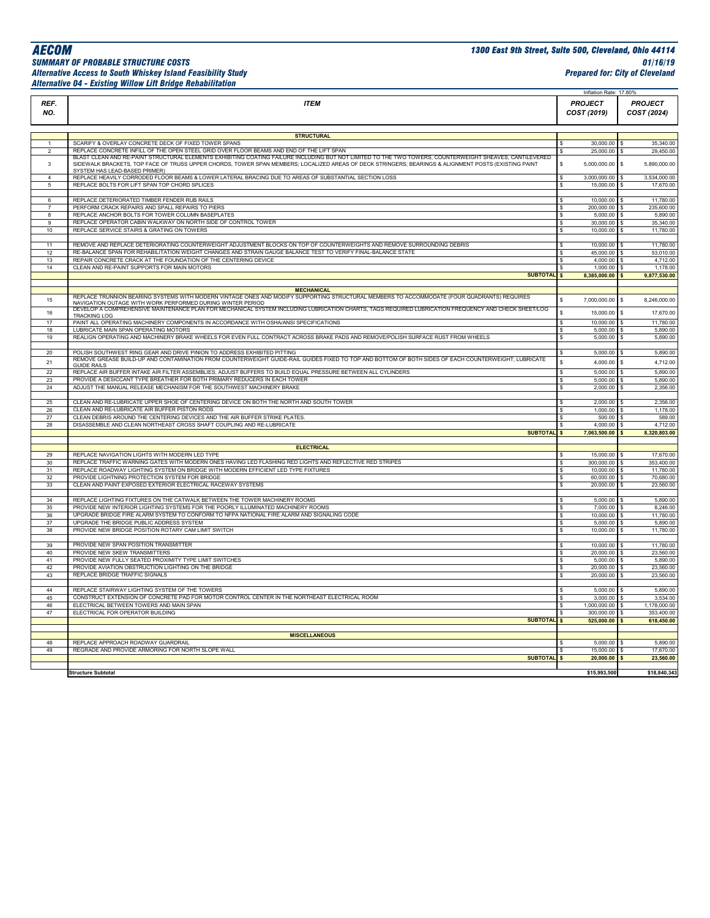## *Alternative Access to South Whiskey Island Feasibility Study Prepared for: City of Cleveland Alternative 04 - Existing Willow Lift Bridge Rehabilitation*

|                     |                                                                                                                                                                                       | Inflation Rate: 17.80%        |                                            |
|---------------------|---------------------------------------------------------------------------------------------------------------------------------------------------------------------------------------|-------------------------------|--------------------------------------------|
| REF.<br>NO.         | <b>ITEM</b>                                                                                                                                                                           | <b>PROJECT</b><br>COST (2019) | <b>PROJECT</b><br>COST (2024)              |
|                     |                                                                                                                                                                                       |                               |                                            |
|                     | <b>STRUCTURAL</b><br>SCARIFY & OVERLAY CONCRETE DECK OF FIXED TOWER SPANS                                                                                                             |                               |                                            |
| $\overline{2}$      | REPLACE CONCRETE INFILL OF THE OPEN STEEL GRID OVER FLOOR BEAMS AND END OF THE LIFT SPAN                                                                                              | 30,000.00<br>25,000.00        | 35,340.00<br>s<br>29,450.00<br>\$.         |
|                     | BLAST CLEAN AND RE-PAINT STRUCTURAL ELEMENTS EXHIBITING COATING FAILURE INCLUDING BUT NOT LIMITED TO THE TWO TOWERS, COUNTERWEIGHT SHEAVES, CANTILEVERED                              |                               |                                            |
| 3                   | SIDEWALK BRACKETS, TOP FACE OF TRUSS UPPER CHORDS, TOWER SPAN MEMBERS; LOCALIZED AREAS OF DECK STRINGERS; BEARINGS & ALIGNMENT POSTS (EXISTING PAINT<br>SYSTEM HAS LEAD-BASED PRIMER) | Ś<br>5,000,000.00             | \$<br>5,890,000.00                         |
| $\Delta$            | REPLACE HEAVILY CORRODED FLOOR BEAMS & LOWER LATERAL BRACING DUE TO AREAS OF SUBSTANTIAL SECTION LOSS                                                                                 | 3,000,000.00<br>S             | 3,534,000.00<br>$\mathfrak{s}$             |
| 5                   | REPLACE BOLTS FOR LIFT SPAN TOP CHORD SPLICES                                                                                                                                         | 15,000.00<br>s                | 17,670.00<br>$\mathbf{s}$                  |
|                     |                                                                                                                                                                                       |                               |                                            |
| 6<br>$\overline{7}$ | REPLACE DETERIORATED TIMBER FENDER RUB RAILS                                                                                                                                          | 10,000.00                     | 11,780.00<br>$\mathfrak{s}$                |
| 8                   | PERFORM CRACK REPAIRS AND SPALL REPAIRS TO PIERS<br>REPLACE ANCHOR BOLTS FOR TOWER COLUMN BASEPLATES                                                                                  | 200,000.00<br>5,000.00<br>S   | 235,600.00<br>s.<br>5,890.00<br>s.         |
| $\mathbf{Q}$        | REPLACE OPERATOR CABIN WALKWAY ON NORTH SIDE OF CONTROL TOWER                                                                                                                         | 30,000.00<br>s                | 35,340.00<br>-S                            |
| 10                  | REPLACE SERVICE STAIRS & GRATING ON TOWERS                                                                                                                                            | 10,000.00<br>s                | 11,780.00<br>s.                            |
|                     |                                                                                                                                                                                       |                               |                                            |
| 11                  | REMOVE AND REPLACE DETERIORATING COUNTERWEIGHT ADJUSTMENT BLOCKS ON TOP OF COUNTERWEIGHTS AND REMOVE SURROUNDING DEBRIS                                                               | 10,000.00                     | 11,780.00<br>$\mathfrak{s}$                |
| 12                  | RE-BALANCE SPAN FOR REHABILITATION WEIGHT CHANGES AND STRAIN GAUGE BALANCE TEST TO VERIFY FINAL-BALANCE STATE                                                                         | 45,000.00                     | 53,010.00<br>S.                            |
| 13                  | REPAIR CONCRETE CRACK AT THE FOUNDATION OF THE CENTERING DEVICE                                                                                                                       | 4,000.00<br><b>s</b>          | 4,712.00<br>S.                             |
| 14                  | CLEAN AND RE-PAINT SUPPORTS FOR MAIN MOTORS                                                                                                                                           | $1,000.00$ \$                 | 1,178.00                                   |
|                     | <b>SUBTOTAL \$</b>                                                                                                                                                                    | 8,385,000.00 \$               | 9,877,530.00                               |
|                     | <b>MECHANICAL</b>                                                                                                                                                                     |                               |                                            |
|                     | REPLACE TRUNNION BEARING SYSTEMS WITH MODERN VINTAGE ONES AND MODIFY SUPPORTING STRUCTURAL MEMBERS TO ACCOMMODATE (FOUR QUADRANTS) REQUIRES                                           |                               |                                            |
| 15                  | NAVIGATION OUTAGE WITH WORK PERFORMED DURING WINTER PERIOD                                                                                                                            | 7,000,000.00                  | \$.<br>8,246,000.00                        |
| 16                  | DEVELOP A COMPREHENSIVE MAINTENANCE PLAN FOR MECHANICAL SYSTEM INCLUDING LUBRICATION CHARTS, TAGS REQUIRED LUBRICATION FREQUENCY AND CHECK SHEET/LOG                                  | 15,000.00                     | \$.<br>17,670.00                           |
| 17                  | <b>TRACKING LOG</b><br>PAINT ALL OPERATING MACHINERY COMPONENTS IN ACCORDANCE WITH OSHA/ANSI SPECIFICATIONS                                                                           | 10,000.00                     | 11,780.00<br>\$                            |
| 18                  | LUBRICATE MAIN SPAN OPERATING MOTORS                                                                                                                                                  | 5,000.00<br>s                 | 5,890.00<br>-S                             |
| 19                  | REALIGN OPERATING AND MACHINERY BRAKE WHEELS FOR EVEN FULL CONTRACT ACROSS BRAKE PADS AND REMOVE/POLISH SURFACE RUST FROM WHEELS                                                      | 5,000.00<br>s                 | 5,890.00<br>$\mathfrak{s}$                 |
|                     |                                                                                                                                                                                       |                               |                                            |
| 20                  | POLISH SOUTHWEST RING GEAR AND DRIVE PINION TO ADDRESS EXHIBITED PITTING                                                                                                              | 5,000.00                      | 5,890.00<br><sub>S</sub>                   |
| 21                  | REMOVE GREASE BUILD-UP AND CONTAMINATION FROM COUNTERWEIGHT GUIDE-RAIL GUIDES FIXED TO TOP AND BOTTOM OF BOTH SIDES OF EACH COUNTERWEIGHT; LUBRICATE                                  | Ś<br>4,000.00                 | 4,712.00<br>\$.                            |
|                     | <b>GUIDE RAILS</b><br>REPLACE AIR BUFFER INTAKE AIR FILTER ASSEMBLIES; ADJUST BUFFERS TO BUILD EQUAL PRESSURE BETWEEN ALL CYLINDERS                                                   |                               | 5,890.00                                   |
| 22<br>23            | PROVIDE A DESICCANT TYPE BREATHER FOR BOTH PRIMARY REDUCERS IN EACH TOWER                                                                                                             | 5,000.00<br>S<br>5,000.00     | \$<br>5,890.00<br><sub>S</sub>             |
| 24                  | ADJUST THE MANUAL RELEASE MECHANISM FOR THE SOUTHWEST MACHINERY BRAKE                                                                                                                 | 2,000.00<br>s                 | 2,356.00<br>S.                             |
|                     |                                                                                                                                                                                       |                               |                                            |
| 25                  | CLEAN AND RE-LUBRICATE UPPER SHOE OF CENTERING DEVICE ON BOTH THE NORTH AND SOUTH TOWER                                                                                               | 2,000.00                      | 2,356.00<br>\$.                            |
| 26                  | CLEAN AND RE-LUBRICATE AIR BUFFER PISTON RODS                                                                                                                                         | 1,000.00                      | 1,178.00<br>-S                             |
| 27                  | CLEAN DEBRIS AROUND THE CENTERING DEVICES AND THE AIR BUFFER STRIKE PLATES.                                                                                                           | 500.00                        | 589.00<br>S.                               |
| 28                  | DISASSEMBLE AND CLEAN NORTHEAST CROSS SHAFT COUPLING AND RE-LUBRICATE                                                                                                                 | 4,000.00                      | 4,712.00<br>\$                             |
|                     | <b>SUBTOTAL</b>                                                                                                                                                                       | $\mathbf{s}$<br>7,063,500.00  | 8,320,803.00                               |
|                     | <b>ELECTRICAL</b>                                                                                                                                                                     |                               |                                            |
| 29                  | REPLACE NAVIGATION LIGHTS WITH MODERN LED TYPE                                                                                                                                        | 15,000.00                     | 17,670.00<br>$\mathbf{\hat{S}}$            |
| 30                  | REPLACE TRAFFIC WARNING GATES WITH MODERN ONES HAVING LED FLASHING RED LIGHTS AND REFLECTIVE RED STRIPES                                                                              | 300,000.00 \$                 | 353,400.00                                 |
| 31                  | REPLACE ROADWAY LIGHTING SYSTEM ON BRIDGE WITH MODERN EFFICIENT LED TYPE FIXTURES                                                                                                     | 10,000.00<br>Ś                | 11,780.00<br>s.                            |
| 32                  | PROVIDE LIGHTNING PROTECTION SYSTEM FOR BRIDGE                                                                                                                                        | 60,000.00<br>s                | 70,680.00<br>s                             |
| 33                  | CLEAN AND PAINT EXPOSED EXTERIOR ELECTRICAL RACEWAY SYSTEMS                                                                                                                           | 20,000.00<br>s                | 23,560.00<br>S.                            |
|                     |                                                                                                                                                                                       |                               |                                            |
| 34                  | REPLACE LIGHTING FIXTURES ON THE CATWALK BETWEEN THE TOWER MACHINERY ROOMS                                                                                                            | 5,000.00                      | 5,890.00                                   |
| 35                  | PROVIDE NEW INTERIOR LIGHTING SYSTEMS FOR THE POORLY ILLUMINATED MACHINERY ROOMS<br>UPGRADE BRIDGE FIRE ALARM SYSTEM TO CONFORM TO NFPA NATIONAL FIRE ALARM AND SIGNALING CODE        | 7,000.00                      | 8,246.00<br><sub>S</sub><br>$\mathfrak{s}$ |
| 36<br>37            | UPGRADE THE BRIDGE PUBLIC ADDRESS SYSTEM                                                                                                                                              | 10,000.00<br>5.000.00         | 11,780.00<br>5,890.00<br>$\mathfrak{s}$    |
| 38                  | PROVIDE NEW BRIDGE POSITION ROTARY CAM LIMIT SWITCH                                                                                                                                   | 10,000.00<br>s                | 11,780.00<br>$\mathbf{s}$                  |
|                     |                                                                                                                                                                                       |                               |                                            |
| 39                  | PROVIDE NEW SPAN POSITION TRANSMITTER                                                                                                                                                 | 10,000.00                     | 11,780.00<br>S.                            |
| 40                  | PROVIDE NEW SKEW TRANSMITTERS                                                                                                                                                         | 20,000.00 \$                  | 23,560.00                                  |
| 41                  | PROVIDE NEW FULLY SEATED PROXIMITY TYPE LIMIT SWITCHES                                                                                                                                | 5.000.00<br>s                 | 5,890.00<br>-S                             |
| 42                  | PROVIDE AVIATION OBSTRUCTION LIGHTING ON THE BRIDGE                                                                                                                                   | 20,000.00<br>s                | 23,560.00<br>S.                            |
| 43                  | REPLACE BRIDGE TRAFFIC SIGNALS                                                                                                                                                        | 20,000.00<br>s                | 23,560.00<br>\$                            |
| 44                  | REPLACE STAIRWAY LIGHTING SYSTEM OF THE TOWERS                                                                                                                                        | 5,000.00                      | 5,890.00                                   |
| 45                  | CONSTRUCT EXTENSION OF CONCRETE PAD FOR MOTOR CONTROL CENTER IN THE NORTHEAST ELECTRICAL ROOM                                                                                         | 3,000.00                      | -S<br>3,534.00<br>\$                       |
| 46                  | ELECTRICAL BETWEEN TOWERS AND MAIN SPAN                                                                                                                                               | 1,000,000.00                  | 1,178,000.00<br>\$                         |
| $\overline{47}$     | ELECTRICAL FOR OPERATOR BUILDING                                                                                                                                                      | 300,000.00                    | 353,400.00<br>$\mathbf{\hat{S}}$           |
|                     | <b>SUBTOTAL</b> \$                                                                                                                                                                    | 525,000.00                    | 618,450.00<br>$\mathbf{s}$                 |
|                     |                                                                                                                                                                                       |                               |                                            |
|                     | <b>MISCELLANEOUS</b>                                                                                                                                                                  |                               |                                            |
| 48                  | REPLACE APPROACH ROADWAY GUARDRAIL                                                                                                                                                    | 5,000.00                      | 5,890.00<br>$\mathbf{s}$                   |
| 49                  | REGRADE AND PROVIDE ARMORING FOR NORTH SLOPE WALL                                                                                                                                     | 15,000.00                     | 17,670.00<br>$\mathbf{s}$                  |
|                     | <b>SUBTOTAL</b>                                                                                                                                                                       | $20,000.00$ \$<br><b>s</b>    | 23,560.00                                  |
|                     | <b>Structure Subtotal</b>                                                                                                                                                             | \$15,993,500                  | \$18,840,343                               |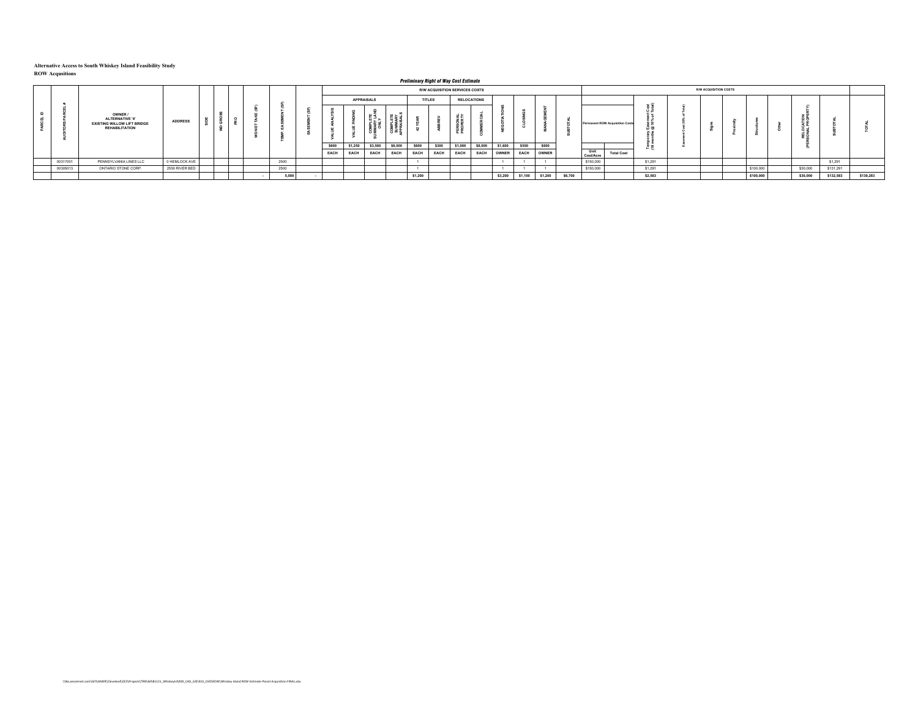|          |                                                                                                  |                |  |       |       |         |                   |         | <b>Preliminary Right of Way Cost Estimate</b> |                                |               |                    |         |             |         |         |                   |                                        |              |                              |           |          |           |           |
|----------|--------------------------------------------------------------------------------------------------|----------------|--|-------|-------|---------|-------------------|---------|-----------------------------------------------|--------------------------------|---------------|--------------------|---------|-------------|---------|---------|-------------------|----------------------------------------|--------------|------------------------------|-----------|----------|-----------|-----------|
|          |                                                                                                  |                |  |       |       |         |                   |         |                                               | R/W ACQUISITION SERVICES COSTS |               |                    |         |             |         |         |                   |                                        |              | <b>R/W ACQUISITION COSTS</b> |           |          |           |           |
|          |                                                                                                  |                |  |       |       |         | <b>APPRAISALS</b> |         |                                               | <b>TITLES</b>                  |               | <b>RELOCATIONS</b> |         |             |         |         |                   |                                        |              |                              |           |          |           |           |
|          | OWNER /<br><b>ALTERNATIVE '4'</b><br><b>EXISTING WILLOW LIFT BRIDGE</b><br><b>REHABILITATION</b> | <b>ADDRESS</b> |  |       |       |         |                   |         |                                               |                                | $\sim$ $\sim$ |                    |         |             |         |         |                   | <b>Permanent ROW Acquisition Costs</b> |              |                              |           |          |           |           |
|          |                                                                                                  |                |  |       | \$600 | \$1,250 | \$3,500           | \$6,000 | \$600                                         | \$300                          | \$1,000       | \$8,000            | \$1,600 | \$550       | \$600   |         |                   |                                        |              |                              |           |          |           |           |
|          |                                                                                                  |                |  |       | EACH  | EACH    | EACH              | EACH    | <b>EACH</b>                                   | EACH                           | <b>EACH</b>   | EACH               | OWNER   | <b>EACH</b> | OWNER   |         | Unit<br>Cost/Acre | <b>Total Cost</b>                      | . <u>. .</u> |                              |           |          |           |           |
| 00317001 | PENNSYLVANIA LINES LLC                                                                           | 0 HEMLOCK AVE  |  | 2500  |       |         |                   |         |                                               |                                |               |                    |         |             |         |         | \$150,000         |                                        | \$1,291      |                              |           |          | \$1,291   |           |
| 00305013 | ONTARIO STONE CORP.                                                                              | 2550 RIVER BED |  | 2500  |       |         |                   |         |                                               |                                |               |                    |         |             |         |         | \$150,000         |                                        | \$1,291      |                              | \$100,000 | \$30,000 | \$131,291 |           |
|          |                                                                                                  |                |  | 5,000 |       |         |                   |         | \$1,200                                       |                                |               |                    | \$3,200 | \$1,100     | \$1,200 | \$6,700 |                   |                                        | \$2,583      |                              | \$100,000 | \$30,000 | \$132,583 | \$139,283 |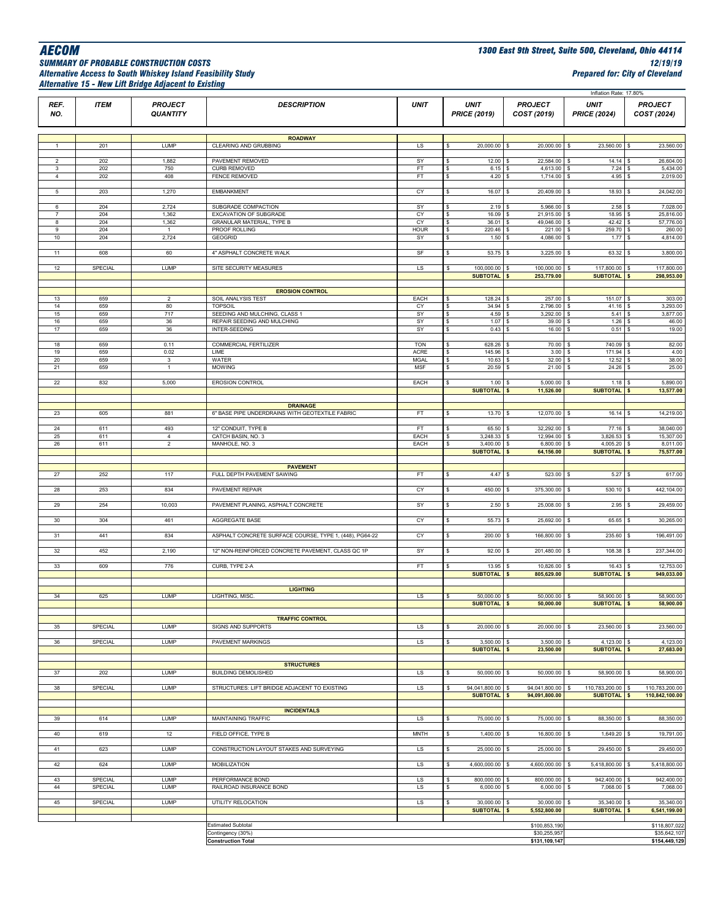## *Alternative Access to South Whiskey Island Feasibility Study Prepared for: City of Cleveland Alternative 15 - New Lift Bridge Adjacent to Existing*

|                     |                |                       |                                                         |                    |                                       |                                | Inflation Rate: 17.80%                    |                                          |
|---------------------|----------------|-----------------------|---------------------------------------------------------|--------------------|---------------------------------------|--------------------------------|-------------------------------------------|------------------------------------------|
| REF.                | <b>ITEM</b>    | <b>PROJECT</b>        | <b>DESCRIPTION</b>                                      | <b>UNIT</b>        | <b>UNIT</b>                           | <b>PROJECT</b>                 | <b>UNIT</b>                               | <b>PROJECT</b>                           |
| NO.                 |                | <b>QUANTITY</b>       |                                                         |                    | <b>PRICE (2019)</b>                   | COST (2019)                    | <b>PRICE (2024)</b>                       | COST (2024)                              |
|                     |                |                       |                                                         |                    |                                       |                                |                                           |                                          |
|                     |                |                       | <b>ROADWAY</b>                                          |                    |                                       |                                |                                           |                                          |
| $\mathbf{1}$        | 201            | LUMP                  | CLEARING AND GRUBBING                                   | LS                 | 20,000.00<br>\$                       | 20,000.00                      | 23,560.00<br>\$                           | 23,560.00                                |
| $\overline{2}$      | 202            | 1,882                 | PAVEMENT REMOVED                                        | SY                 | 12.00<br>\$                           | 22,584.00 \$                   | 14.14                                     | 26,604.00                                |
| 3<br>$\overline{4}$ | 202<br>202     | 750<br>408            | <b>CURB REMOVED</b><br><b>FENCE REMOVED</b>             | FT<br>FT           | 6.15<br>\$<br>\$<br>4.20              | 4,613.00<br>1,714.00 \$<br>\$  | 7.24<br>4.95                              | 5,434.00<br>2,019.00<br>$\mathsf{S}$     |
|                     |                |                       |                                                         |                    |                                       |                                |                                           |                                          |
| 5                   | 203            | 1,270                 | <b>EMBANKMENT</b>                                       | <b>CY</b>          | 16.07<br>\$                           | 20,409.00 \$<br>l \$           | 18.93                                     | 24,042.00                                |
| 6                   | 204            | 2,724                 | SUBGRADE COMPACTION                                     | SY                 | 2.19<br>\$                            | 5,966.00                       | 2.58                                      | 7,028.00                                 |
| $\overline{7}$      | 204            | 1,362                 | EXCAVATION OF SUBGRADE                                  | CY                 | 16.09<br>s                            | 21,915.00 \$                   | 18.95                                     | 25,816.00                                |
| 8<br>9              | 204<br>204     | 1,362<br>$\mathbf{1}$ | <b>GRANULAR MATERIAL, TYPE B</b><br>PROOF ROLLING       | CY<br><b>HOUR</b>  | \$<br>36.01<br>\$<br>220.46           | 49,046.00 \$<br>221.00 \$      | 42.42<br>259.70                           | 57,776.00<br>260.00                      |
| 10                  | 204            | 2,724                 | GEOGRID                                                 | SY                 | 1.50<br>\$                            | 4,086.00 \$                    | 1.77                                      | 4,814.00                                 |
|                     |                |                       |                                                         |                    |                                       |                                |                                           |                                          |
| 11                  | 608            | 60                    | 4" ASPHALT CONCRETE WALK                                | SF                 | s<br>53.75                            | $3,225.00$ \$<br>$\mathbf{s}$  | 63.32                                     | 3,800.00<br>$\mathsf{S}$                 |
| 12                  | <b>SPECIAL</b> | LUMP                  | SITE SECURITY MEASURES                                  | LS                 | 100,000.00<br>\$                      | 100,000.00 \$<br>$\sqrt{3}$    | 117,800.00                                | 117,800.00<br>l \$                       |
|                     |                |                       |                                                         |                    | <b>SUBTOTAL</b>                       | 253,779.00<br><b>S</b>         | <b>SUBTOTAL</b>                           | 298,953.00<br><b>S</b>                   |
|                     |                |                       | <b>EROSION CONTROL</b>                                  |                    |                                       |                                |                                           |                                          |
| 13                  | 659            | $\overline{2}$        | SOIL ANALYSIS TEST                                      | EACH               | 128.24<br>s                           | 257.00                         | 151.07<br>$\sqrt{5}$                      | 303.00                                   |
| 14<br>15            | 659<br>659     | 80<br>717             | <b>TOPSOIL</b><br>SEEDING AND MULCHING, CLASS 1         | CY<br>SY           | 34.94<br>s<br>4.59<br>\$              | 2,796.00 \$<br>3,292.00        | 41.16<br>5.41<br>l s                      | 3,293.00<br>3,877.00                     |
| 16                  | 659            | 36                    | REPAIR SEEDING AND MULCHING                             | SY                 | 1.07<br>\$                            | 39.00                          | 1.26                                      | 46.00                                    |
| 17                  | 659            | 36                    | INTER-SEEDING                                           | SY                 | 0.43<br>\$                            | 16.00<br>$\mathbf{s}$          | 0.51<br>s                                 | 19.00<br>$\mathbf{s}$                    |
| 18                  | 659            | 0.11                  | <b>COMMERCIAL FERTILIZER</b>                            | <b>TON</b>         | 628.26<br>s                           | 70.00 \$<br>l \$               | 740.09                                    | 82.00<br>l s                             |
| 19                  | 659            | 0.02                  | LIME                                                    | <b>ACRE</b>        | 145.96<br>\$                          | 3.00                           | 171.94<br>$\mathbf{s}$                    | 4.00                                     |
| $20\,$<br>21        | 659<br>659     | 3<br>$\mathbf{1}$     | WATER<br><b>MOWING</b>                                  | MGAL<br><b>MSF</b> | 10.63<br>\$<br>20.59<br>s             | 32.00<br>$21.00$ \$            | 12.52<br>24.26                            | 38.00<br>25.00<br>l s                    |
|                     |                |                       |                                                         |                    |                                       |                                |                                           |                                          |
| 22                  | 832            | 5,000                 | <b>EROSION CONTROL</b>                                  | EACH               | 1.00<br>\$                            | 5,000.00                       | 1.18                                      | 5,890.00                                 |
|                     |                |                       |                                                         |                    | <b>SUBTOTAL</b>                       | 11,526.00                      | <b>SUBTOTAL</b>                           | 13,577.00                                |
|                     |                |                       | <b>DRAINAGE</b>                                         |                    |                                       |                                |                                           |                                          |
| 23                  | 605            | 881                   | 6" BASE PIPE UNDERDRAINS WITH GEOTEXTILE FABRIC         | FT                 | 13.70<br>s                            | 12,070.00                      | 16.14<br>l \$                             | 14,219.00                                |
| $24\,$              | 611            | 493                   | 12" CONDUIT, TYPE B                                     | FT                 | 65.50<br>s                            | 32,292.00 \$                   | 77.16                                     | 38,040.00                                |
| 25                  | 611            | $\overline{4}$        | CATCH BASIN, NO. 3                                      | EACH               | 3,248.33<br>\$                        | 12,994.00                      | 3,826.53                                  | 15,307.00                                |
| 26                  | 611            | $\overline{2}$        | MANHOLE, NO. 3                                          | EACH               | 3,400.00<br>\$<br><b>SUBTOTAL</b>     | 6,800.00<br>64,156.00          | 4,005.20<br>$\sqrt{5}$<br><b>SUBTOTAL</b> | 8,011.00<br>75,577.00                    |
|                     |                |                       |                                                         |                    |                                       |                                |                                           |                                          |
|                     |                |                       | <b>PAVEMENT</b>                                         |                    |                                       |                                |                                           |                                          |
| 27                  | 252            | 117                   | FULL DEPTH PAVEMENT SAWING                              | FT                 | 4.47<br>\$                            | 523.00                         | 5.27                                      | 617.00                                   |
| 28                  | 253            | 834                   | PAVEMENT REPAIR                                         | CY                 | 450.00<br>s                           | 375,300.00                     | 530.10                                    | 442,104.00                               |
| 29                  | 254            | 10,003                | PAVEMENT PLANING, ASPHALT CONCRETE                      | SY                 | 2.50<br>\$                            | 25,008.00                      | 2.95<br><b>s</b>                          | 29,459.00                                |
|                     |                |                       |                                                         |                    |                                       |                                |                                           |                                          |
| 30                  | 304            | 461                   | AGGREGATE BASE                                          | CY                 | s<br>55.73                            | 25,692.00                      | 65.65<br>$\mathbf{s}$                     | 30,265.00                                |
| 31                  | 441            | 834                   | ASPHALT CONCRETE SURFACE COURSE, TYPE 1, (448), PG64-22 | <b>CY</b>          | 200.00<br>s                           | 166,800.00 \$                  | 235.60                                    | 196,491.00                               |
|                     |                |                       |                                                         |                    |                                       |                                |                                           |                                          |
| 32                  | 452            | 2,190                 | 12" NON-REINFORCED CONCRETE PAVEMENT, CLASS QC 1P       | SY                 | 92.00<br>s                            | 201,480.00                     | 108.38<br>-S                              | 237,344.00                               |
| 33                  | 609            | 776                   | CURB, TYPE 2-A                                          | FT                 | 13.95<br>s                            | 10,826.00                      | 16.43<br>l \$                             | 12,753.00                                |
|                     |                |                       |                                                         |                    | <b>SUBTOTAL</b>                       | 805,629.00                     | <b>SUBTOTAL</b>                           | 949,033.00                               |
|                     |                |                       | <b>LIGHTING</b>                                         |                    |                                       |                                |                                           |                                          |
| 34                  | 625            | <b>LUMP</b>           | LIGHTING, MISC.                                         | LS                 | 50,000.00<br>s.                       | $50,000.00$ \$                 | 58,900.00                                 | 58,900.00                                |
|                     |                |                       |                                                         |                    | <b>SUBTOTAL</b>                       | 50,000.00                      | <b>SUBTOTAL</b>                           | 58,900.00                                |
|                     |                |                       | <b>TRAFFIC CONTROL</b>                                  |                    |                                       |                                |                                           |                                          |
| 35                  | SPECIAL        | LUMP                  | SIGNS AND SUPPORTS                                      | LS                 | 20,000.00 \$<br>\$                    | 20,000.00 \$                   | 23,560.00 \$                              | 23,560.00                                |
| 36                  | SPECIAL        | <b>LUMP</b>           | PAVEMENT MARKINGS                                       | LS                 | 3,500.00<br>\$                        | $3,500.00$ \$                  | 4,123.00 \$                               | 4,123.00                                 |
|                     |                |                       |                                                         |                    | <b>SUBTOTAL</b>                       | 23,500.00<br>$\sqrt{ }$        | <b>SUBTOTAL</b>                           | 27,683.00                                |
|                     |                |                       | <b>STRUCTURES</b>                                       |                    |                                       |                                |                                           |                                          |
| 37                  | 202            | LUMP                  | <b>BUILDING DEMOLISHED</b>                              | LS                 | 50,000.00<br>\$                       | 50,000.00 \$<br>l S            | 58,900.00 \$                              | 58,900.00                                |
|                     |                |                       | STRUCTURES: LIFT BRIDGE ADJACENT TO EXISTING            |                    |                                       | $\mathbf{s}$                   |                                           |                                          |
| 38                  | SPECIAL        | LUMP                  |                                                         | LS                 | s<br>94,041,800.00<br><b>SUBTOTAL</b> | 94,041,800.00<br>94,091,800.00 | 110,783,200.00<br>\$<br><b>SUBTOTAL</b>   | 110,783,200.00<br>l \$<br>110,842,100.00 |
|                     |                |                       |                                                         |                    |                                       |                                |                                           |                                          |
| 39                  | 614            | <b>LUMP</b>           | <b>INCIDENTALS</b><br>MAINTAINING TRAFFIC               | LS                 | 75,000.00<br>\$                       | 75,000.00 \$<br>l \$           | 88,350.00 \$                              | 88,350.00                                |
|                     |                |                       |                                                         |                    |                                       |                                |                                           |                                          |
| 40                  | 619            | 12                    | FIELD OFFICE, TYPE B                                    | <b>MNTH</b>        | \$<br>1,400.00                        | 16,800.00 \$<br><b>S</b>       | 1,649.20                                  | 19,791.00<br>l S                         |
| 41                  | 623            | LUMP                  | CONSTRUCTION LAYOUT STAKES AND SURVEYING                | LS                 | 25,000.00<br>\$                       | 25,000.00 \$<br>l S            | 29,450.00                                 | 29,450.00                                |
|                     |                |                       |                                                         |                    |                                       |                                |                                           |                                          |
| 42                  | 624            | LUMP                  | MOBILIZATION                                            | LS                 | \$<br>4,600,000.00                    | 4,600,000.00<br>$\sqrt{3}$     | 5,418,800.00<br>s                         | 5,418,800.00                             |
| 43                  | SPECIAL        | LUMP                  | PERFORMANCE BOND                                        | LS                 | 800,000.00<br>\$                      | 800,000.00 \$<br>l \$          | 942,400.00 \$                             | 942,400.00                               |
| 44                  | SPECIAL        | LUMP                  | RAILROAD INSURANCE BOND                                 | LS                 | $6,000.00$ \$<br>\$                   | 6,000.00 \$                    | 7,068.00 \$                               | 7,068.00                                 |
| 45                  | SPECIAL        | LUMP                  | UTILITY RELOCATION                                      | LS                 | \$<br>30,000.00                       | 30,000.00<br>$\mathbf{s}$      | 35,340.00<br><b>S</b>                     | 35,340.00<br>l \$                        |
|                     |                |                       |                                                         |                    | <b>SUBTOTAL</b>                       | 5,552,800.00                   | <b>SUBTOTAL</b>                           | 6,541,199.00                             |
|                     |                |                       | <b>Estimated Subtotal</b>                               |                    |                                       | \$100,853,190                  |                                           | \$118,807,022                            |
|                     |                |                       | Contingency (30%)                                       |                    |                                       | \$30,255,957                   |                                           | \$35,642,107                             |
|                     |                |                       | <b>Construction Total</b>                               |                    |                                       | \$131,109,147                  |                                           | \$154,449,129                            |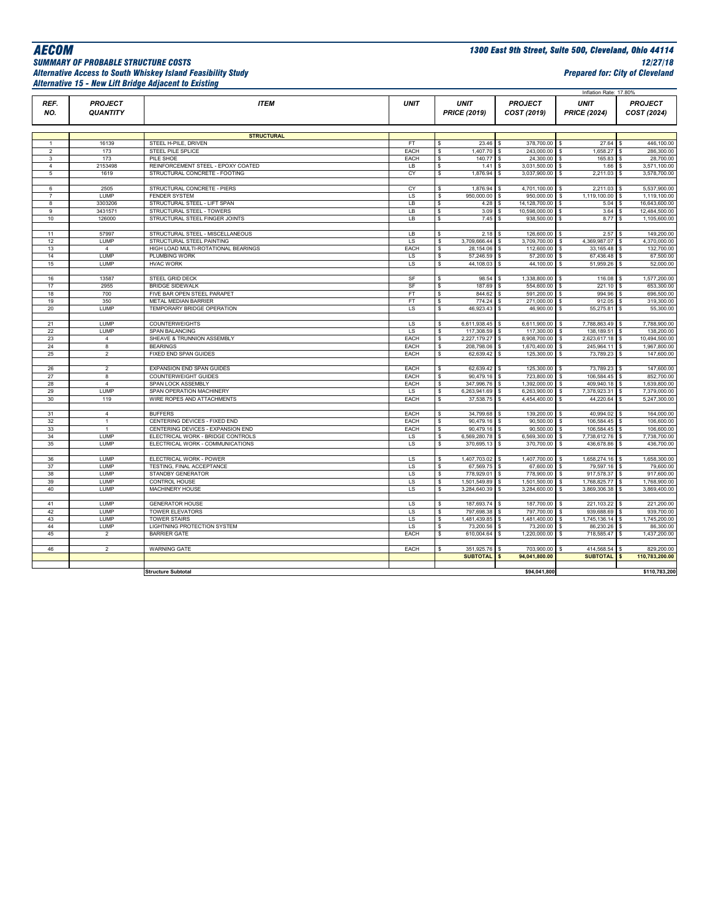#### *SUMMARY OF PROBABLE STRUCTURE COSTS 12/27/18 Alternative Access to South Whiskey Island Feasibility Study Prepared for: City of Cleveland Alternative 15 - New Lift Bridge Adjacent to Existing*

*AECOM 1300 East 9th Street, Suite 500, Cleveland, Ohio 44114*

|                |                                   |                                                                 |              |                                    |                              |                                         | Inflation Rate: 17.80%             |                                      |
|----------------|-----------------------------------|-----------------------------------------------------------------|--------------|------------------------------------|------------------------------|-----------------------------------------|------------------------------------|--------------------------------------|
| REF.<br>NO.    | <b>PROJECT</b><br><b>QUANTITY</b> | <b>ITEM</b>                                                     | <b>UNIT</b>  | <b>UNIT</b><br><b>PRICE (2019)</b> |                              | <b>PROJECT</b><br>COST (2019)           | <b>UNIT</b><br><b>PRICE (2024)</b> | <b>PROJECT</b><br>COST (2024)        |
|                |                                   |                                                                 |              |                                    |                              |                                         |                                    |                                      |
|                |                                   | <b>STRUCTURAL</b>                                               |              |                                    |                              |                                         |                                    |                                      |
| $\overline{1}$ | 16139                             | STEEL H-PILE, DRIVEN                                            | FT.          | <b>s</b>                           | 23.46                        | 378,700.00 \$                           | 27.64                              | 446,100.00                           |
| $\overline{2}$ | 173                               | STEEL PILE SPLICE                                               | EACH         | s                                  | 1,407.70 \$                  | 243,000.00 \$                           | 1,658.27                           | 286,300.00<br>\$                     |
| 3              | 173                               | PILE SHOE                                                       | EACH         | <b>s</b>                           | 140.77 \$                    | 24,300.00 \$                            | 165.83                             | 28,700.00                            |
| $\overline{4}$ | 2153498                           | REINFORCEMENT STEEL - EPOXY COATED                              | LB           | \$                                 | 1.41                         | 3,031,500.00 \$<br>s                    | 1.66                               | 3,571,100.00<br>\$.                  |
| 5              | 1619                              | STRUCTURAL CONCRETE - FOOTING                                   | CY           | s                                  | 1,876.94                     | 3,037,900.00 \$<br>s                    | 2,211.03                           | 3,578,700.00<br>\$                   |
| 6              | 2505                              | STRUCTURAL CONCRETE - PIERS                                     | CY           | s                                  | 1,876.94                     | 4,701,100.00 \$<br>-S                   | 2,211.03                           | 5,537,900.00<br>\$.                  |
| $\overline{7}$ | LUMP                              | <b>FENDER SYSTEM</b>                                            | LS           | \$                                 | 950,000.00                   | 950,000.00 \$<br>s                      | 1,119,100.00                       | 1,119,100.00                         |
| 8              | 3303206                           | STRUCTURAL STEEL - LIFT SPAN                                    | LВ           | \$                                 | 4.28                         | 14,128,700.00                           | s<br>5.04                          | 16,643,600.00                        |
| 9              | 3431571                           | STRUCTURAL STEEL - TOWERS                                       | LB           | \$                                 | 3.09                         | 10,598,000.00 \$                        | 3.64                               | 12,484,500.00<br>s                   |
| 10             | 126000                            | STRUCTURAL STEEL FINGER JOINTS                                  | LB           | \$                                 | 7.45                         | 938,500.00                              | s<br>8.77                          | 1,105,600.00<br>\$                   |
|                |                                   |                                                                 |              |                                    |                              |                                         |                                    |                                      |
| 11             | 57997                             | STRUCTURAL STEEL - MISCELLANEOUS                                | LB           | \$                                 | 2.18                         | 126,600.00                              | 2.57<br>s                          | 149,200.00                           |
| 12             | LUMP                              | STRUCTURAL STEEL PAINTING                                       | LS           | 3,709,666.44 \$<br>\$              |                              | 3,709,700.00 \$                         | 4,369,987.07                       | 4,370,000.00<br>\$.                  |
| 13             | $\overline{4}$                    | HIGH LOAD MULTI-ROTATIONAL BEARINGS                             | EACH         | s                                  | 28,154.06 \$                 | 112,600.00 \$                           | 33,165.48                          | \$.<br>132,700.00                    |
| 14             | LUMP                              | PLUMBING WORK                                                   | LS           | s                                  | 57,246.59 \$                 | 57,200.00                               | 67,436.48<br>\$                    | 67,500.00<br>s                       |
| 15             | LUMP                              | <b>HVAC WORK</b>                                                | LS           | s                                  | 44,108.03 \$                 | 44,100.00                               | 51,959.26<br>\$                    | 52,000.00<br>\$.                     |
| 16             | 13587                             | STEEL GRID DECK                                                 | SF           |                                    | 98.54                        | 1,338,800.00                            |                                    | 1,577,200.00<br>Ś.                   |
| 17             | 2955                              | <b>BRIDGE SIDEWALK</b>                                          | SF           | s<br>s                             | 187.69 \$                    | s<br>554,600.00 \$                      | 116.08<br>\$<br>221.10             | 653,300.00<br>\$.                    |
| 18             | 700                               | FIVE BAR OPEN STEEL PARAPET                                     | FT           | s                                  | 844.62                       | 591,200.00 \$<br>l s                    | 994.96                             | 696,500.00<br>\$                     |
| 19             | 350                               | <b>METAL MEDIAN BARRIER</b>                                     | FT           | Ś                                  | 774.24                       | 271,000.00 \$<br>s                      | 912.05                             | 319,300.00<br>\$                     |
| 20             | LUMP                              | TEMPORARY BRIDGE OPERATION                                      | LS           | s                                  | 46,923.43 \$                 | 46,900.00 \$                            | 55,275.81 \$                       | 55,300.00                            |
|                |                                   |                                                                 |              |                                    |                              |                                         |                                    |                                      |
| 21             | LUMP                              | <b>COUNTERWEIGHTS</b>                                           | LS           | \$<br>6,611,938.45 \$              |                              | 6,611,900.00 \$                         | 7,788,863.49                       | 7,788,900.00                         |
| 22             | LUMP                              | <b>SPAN BALANCING</b>                                           | <b>LS</b>    | s.                                 | 117,308.59 \$                | 117,300.00                              | 138,189.51<br><b>S</b>             | 138,200.00<br>s                      |
| 23             | $\overline{4}$                    | SHEAVE & TRUNNION ASSEMBLY                                      | EACH         | s.<br>2,227,179.27 \$              |                              | 8,908,700.00 \$                         | 2,623,617.18                       | 10,494,500.00<br>\$.                 |
| 24             | 8                                 | <b>BEARINGS</b>                                                 | EACH         | \$                                 | 208,798.06 \$                | 1,670,400.00 \$                         | 245,964.11 \$                      | 1,967,800.00                         |
| 25             | $\overline{2}$                    | FIXED END SPAN GUIDES                                           | EACH         | s                                  | 62,639.42                    | 125,300.00<br>s                         | 73,789.23<br>\$                    | 147,600.00<br>s                      |
|                |                                   |                                                                 |              |                                    |                              |                                         |                                    |                                      |
| 26<br>27       | $\overline{2}$<br>8               | <b>EXPANSION END SPAN GUIDES</b><br><b>COUNTERWEIGHT GUIDES</b> | EACH<br>EACH | s                                  | 62,639.42 \$<br>90,479.16 \$ | 125,300.00 \$<br>723,800.00             | 73,789.23 \$<br>106.584.45         | 147,600.00<br>852.700.00             |
| 28             | $\overline{4}$                    | <b>SPAN LOCK ASSEMBLY</b>                                       | EACH         | s<br>s.                            | 347,996.76                   | 1,392,000.00<br>s                       | s<br>409,940.18<br>s               | s<br>1,639,800.00<br>\$.             |
| 29             | LUMP                              | SPAN OPERATION MACHINERY                                        | LS           | \$<br>6,263,941.69 \$              |                              | 6,263,900.00                            | 7,378,923.31<br><b>S</b>           | 7,379,000.00<br>\$                   |
| 30             | 119                               | WIRE ROPES AND ATTACHMENTS                                      | EACH         | s                                  | 37,538.75                    | 4,454,400.00<br>s                       | \$<br>44,220.64                    | 5,247,300.00<br>Ś.                   |
|                |                                   |                                                                 |              |                                    |                              |                                         |                                    |                                      |
| 31             | $\overline{4}$                    | <b>BUFFERS</b>                                                  | EACH         | s                                  | 34,799.68 \$                 | 139,200.00 \$                           | 40,994.02                          | 164,000.00<br>\$.                    |
| 32             | $\mathbf{1}$                      | CENTERING DEVICES - FIXED END                                   | EACH         | s                                  | 90,479.16                    | 90,500.00<br>-S                         | 106.584.45<br>s                    | 106.600.00                           |
| 33             | $\overline{1}$                    | CENTERING DEVICES - EXPANSION END                               | EACH         | s                                  | 90,479.16 \$                 | 90,500.00                               | 106,584.45<br>-S                   | 106,600.00<br>s                      |
| 34             | LUMP                              | ELECTRICAL WORK - BRIDGE CONTROLS                               | LS           | 6,569,280.78 \$<br>\$              |                              | 6,569,300.00                            | 7,738,612.76<br>s                  | 7,738,700.00<br>\$                   |
| 35             | LUMP                              | ELECTRICAL WORK - COMMUNICATIONS                                | LS           | s                                  | 370,695.13 \$                | 370,700.00 \$                           | 436,678.86                         | 436,700.00<br>\$.                    |
|                |                                   |                                                                 |              |                                    |                              |                                         |                                    |                                      |
| 36             | LUMP                              | ELECTRICAL WORK - POWER                                         | LS           | 1,407,703.02 \$<br>s.              |                              | 1,407,700.00                            | 1,658,274.16<br>s                  | 1,658,300.00<br>s                    |
| 37             | LUMP                              | TESTING, FINAL ACCEPTANCE                                       | LS           | s                                  | 67,569.75 \$                 | 67,600.00 \$                            | 79,597.16 \$                       | 79,600.00                            |
| 38<br>39       | <b>LUMP</b><br>LUMP               | STANDBY GENERATOR<br>CONTROL HOUSE                              | LS<br>LS     | \$<br>1,501,549.89<br>s.           | 778,929.01                   | 778,900.00<br>s<br>1,501,500.00 \$<br>s | 917,578.37<br>s<br>1,768,825.77    | 917,600.00<br>s<br>1,768,900.00<br>s |
| 40             | LUMP                              | MACHINERY HOUSE                                                 | LS           | 3,284,640.39 \$<br>\$.             |                              | 3,284,600.00 \$                         | 3,869,306.38                       | 3,869,400.00<br>\$                   |
|                |                                   |                                                                 |              |                                    |                              |                                         |                                    |                                      |
| 41             | LUMP                              | <b>GENERATOR HOUSE</b>                                          | LS           | \$                                 | 187,693.74 \$                | 187,700.00 \$                           | 221,103.22                         | 221,200.00<br>\$.                    |
| 42             | <b>LUMP</b>                       | <b>TOWER ELEVATORS</b>                                          | LS           | \$                                 | 797,698.38 \$                | 797,700.00                              | 939,688.69<br>s                    | 939,700.00<br>\$.                    |
| 43             | LUMP                              | <b>TOWER STAIRS</b>                                             | LS           | 1,481,439.85 \$<br>s.              |                              | 1,481,400.00                            | 1,745,136.14<br>s                  | 1,745,200.00<br>\$.                  |
| 44             | LUMP                              | LIGHTNING PROTECTION SYSTEM                                     | LS           | s                                  | 73,200.56 \$                 | 73,200.00 \$                            | 86,230.26                          | 86,300.00<br>l \$                    |
| 45             | $\overline{2}$                    | <b>BARRIER GATE</b>                                             | EACH         | \$                                 | 610,004.64 \$                | 1,220,000.00 \$                         | 718,585.47 \$                      | 1,437,200.00                         |
|                |                                   |                                                                 |              |                                    |                              |                                         |                                    |                                      |
| 46             | $\overline{a}$                    | <b>WARNING GATE</b>                                             | EACH         | \$                                 | 351,925.76                   | 703,900.00                              | 414,568.54<br>s                    | 829,200.00<br>s                      |
|                |                                   |                                                                 |              |                                    | SUBTOTAL <sup>S</sup>        | 94,041,800.00                           | <b>SUBTOTAL</b>                    | 110,783,200.00<br>$\mathbf{s}$       |
|                |                                   |                                                                 |              |                                    |                              |                                         |                                    |                                      |
|                |                                   | <b>Structure Subtotal</b>                                       |              |                                    |                              | \$94,041,800                            |                                    | \$110,783,200                        |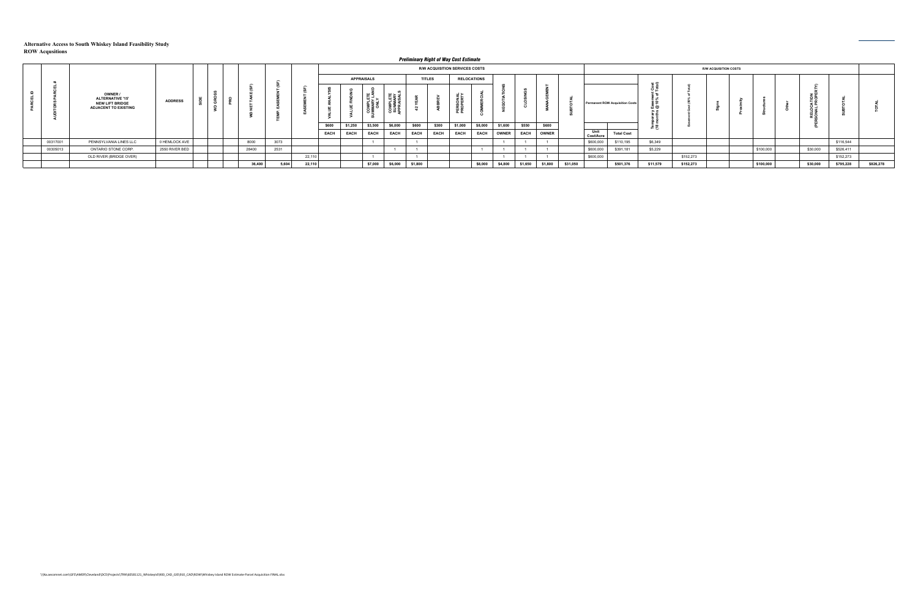|          |                                                                                             |                |  |        |       |        |       |             |                   |             |             |               | Preliminary Right of Way Cost Estimate |                    |              |         |              |          |                   |                                        |          |           |                              |           |          |           |           |
|----------|---------------------------------------------------------------------------------------------|----------------|--|--------|-------|--------|-------|-------------|-------------------|-------------|-------------|---------------|----------------------------------------|--------------------|--------------|---------|--------------|----------|-------------------|----------------------------------------|----------|-----------|------------------------------|-----------|----------|-----------|-----------|
|          |                                                                                             |                |  |        |       |        |       |             |                   |             |             |               | R/W ACQUISITION SERVICES COSTS         |                    |              |         |              |          |                   |                                        |          |           | <b>R/W ACQUISITION COSTS</b> |           |          |           |           |
|          |                                                                                             |                |  |        |       |        |       |             | <b>APPRAISALS</b> |             |             | <b>TITLES</b> |                                        | <b>RELOCATIONS</b> |              |         |              |          |                   |                                        |          |           |                              |           |          |           |           |
|          | OWNER /<br><b>ALTERNATIVE '15'</b><br><b>NEW LIFT BRIDGE</b><br><b>ADJACENT TO EXISTING</b> | <b>ADDRESS</b> |  |        |       |        |       |             |                   |             |             |               | ௳௳                                     |                    |              |         |              |          |                   | <b>Permanent ROW Acquisition Costs</b> |          |           |                              |           |          |           |           |
|          |                                                                                             |                |  |        |       |        | \$600 | \$1,250     | \$3,500           | \$6,000     | \$600       | \$300         | \$1,000                                | \$8,000            | \$1,600      | \$550   | \$600        |          |                   |                                        | ĔΈ       |           |                              |           |          |           |           |
|          |                                                                                             |                |  |        |       |        | EACH  | <b>EACH</b> | EACH              | <b>EACH</b> | <b>EACH</b> | <b>EACH</b>   | <b>EACH</b>                            | <b>EACH</b>        | <b>OWNER</b> | EACH    | <b>OWNER</b> |          | Unit<br>Cost/Acre | <b>Total Cost</b>                      |          |           |                              |           |          |           |           |
| 00317001 | PENNSYLVANIA LINES LLC                                                                      | 0 HEMLOCK AVE  |  | 8000   | 3073  |        |       |             |                   |             |             |               |                                        |                    |              |         |              |          | \$600,000         | \$110,195                              | \$6,349  |           |                              |           |          | \$116,544 |           |
| 00305013 | ONTARIO STONE CORP.                                                                         | 2550 RIVER BED |  | 28400  | 2531  |        |       |             |                   |             |             |               |                                        |                    |              |         |              |          | \$600,000         | \$391,181                              | \$5,229  |           |                              | \$100,000 | \$30,000 | \$526,411 |           |
|          | OLD RIVER (BRIDGE OVER)                                                                     |                |  |        |       | 22,110 |       |             |                   |             |             |               |                                        |                    |              |         |              |          | \$600,000         |                                        |          | \$152,273 |                              |           |          | \$152,273 |           |
|          |                                                                                             |                |  | 36,400 | 5,604 | 22,110 |       |             | \$7,000           | \$6,000     | \$1,800     |               |                                        | \$8,000            | \$4,800      | \$1,650 | \$1,800      | \$31,050 |                   | \$501,376                              | \$11,579 | \$152,273 |                              | \$100,000 | \$30,000 | \$795,228 | \$826,278 |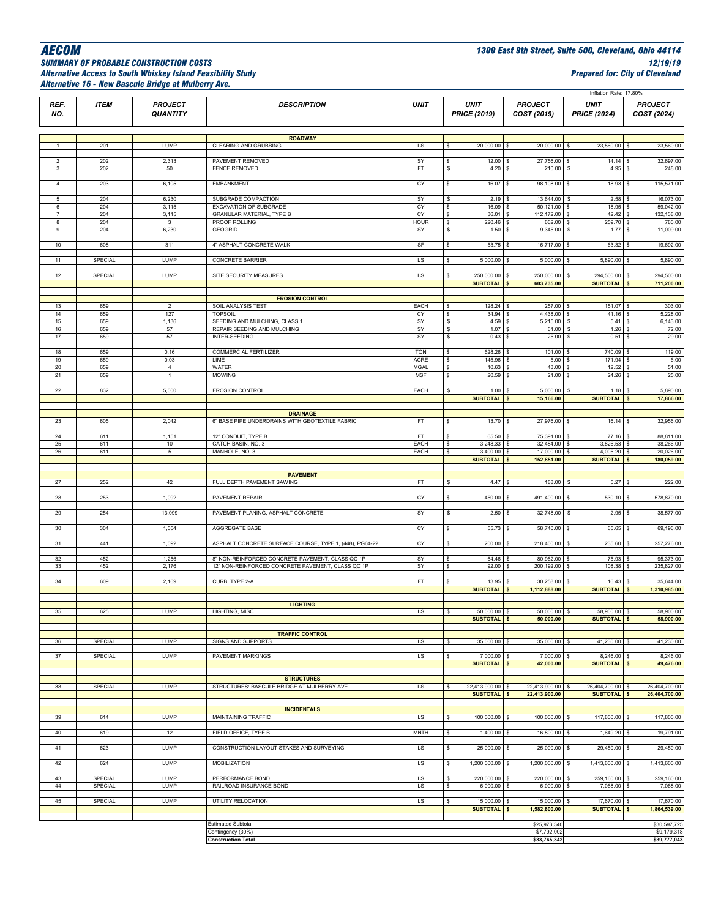### *SUMMARY OF PROBABLE CONSTRUCTION COSTS 12/19/19 Alternative Access to South Whiskey Island Feasibility Study Prepared for: City of Cleveland Alternative 16 - New Bascule Bridge at Mulberry Ave.*

|                     |                |                                   |                                                         |                                   |                                         |                                              | Inflation Rate: 17.80%                |                                            |
|---------------------|----------------|-----------------------------------|---------------------------------------------------------|-----------------------------------|-----------------------------------------|----------------------------------------------|---------------------------------------|--------------------------------------------|
| REF.<br>NO.         | <b>ITEM</b>    | <b>PROJECT</b><br><b>QUANTITY</b> | <b>DESCRIPTION</b>                                      | <b>UNIT</b>                       | <b>UNIT</b><br><b>PRICE (2019)</b>      | <b>PROJECT</b><br>COST (2019)                | <b>UNIT</b><br><b>PRICE (2024)</b>    | <b>PROJECT</b><br>COST (2024)              |
|                     |                |                                   |                                                         |                                   |                                         |                                              |                                       |                                            |
|                     |                |                                   |                                                         |                                   |                                         |                                              |                                       |                                            |
| -1.                 | 201            | LUMP                              | <b>ROADWAY</b><br>CLEARING AND GRUBBING                 | LS                                | s<br>20,000.00                          | 20,000.00<br>\$                              | 23,560.00<br>\$                       | 23,560.00<br>\$                            |
|                     |                |                                   |                                                         |                                   |                                         |                                              |                                       |                                            |
| $\overline{2}$<br>3 | 202<br>202     | 2,313<br>50                       | PAVEMENT REMOVED<br>FENCE REMOVED                       | SY<br>FT                          | 12.00<br>\$<br>4.20<br>\$               | 27,756.00 \$<br>s<br>$210.00$ \$<br>\$       | 14.14<br>4.95                         | 32,697.00<br>\$<br>248.00<br>\$            |
|                     |                |                                   |                                                         |                                   |                                         |                                              |                                       |                                            |
| $\overline{4}$      | 203            | 6,105                             | <b>EMBANKMENT</b>                                       | CY                                | \$<br>16.07                             | 98,108.00                                    | 18.93                                 | 115,571.00<br>\$                           |
| 5                   | 204            | 6,230                             | SUBGRADE COMPACTION                                     | SY                                | 2.19<br>\$                              | 13,644.00 \$<br>\$                           | $2.58$ \$                             | 16,073.00                                  |
| 6                   | 204            | 3,115                             | EXCAVATION OF SUBGRADE                                  | СY                                | 16.09<br>\$                             | $50,121.00$ \$<br>S.                         | 18.95                                 | 59,042.00                                  |
| $\overline{7}$      | 204            | 3,115                             | <b>GRANULAR MATERIAL, TYPE B</b>                        | CY                                | 36.01<br>\$                             | 112,172.00 \$                                | 42.42                                 | 132,138.00                                 |
| 8<br>9              | 204<br>204     | 3<br>6,230                        | PROOF ROLLING<br>GEOGRID                                | HOUR<br>SY                        | \$<br>220.46<br>s<br>1.50               | 662.00 \$<br>9,345.00 \$<br>\$               | 259.70<br>1.77                        | 780.00<br><b>S</b><br>11,009.00<br>\$      |
|                     |                |                                   |                                                         |                                   |                                         |                                              |                                       |                                            |
| 10 <sub>1</sub>     | 608            | 311                               | 4" ASPHALT CONCRETE WALK                                | $\ensuremath{\mathsf{SF}}\xspace$ | \$<br>53.75                             | 16,717.00 \$<br>\$                           | 63.32                                 | 19,692.00<br>\$                            |
| 11                  | SPECIAL        | LUMP                              | CONCRETE BARRIER                                        | LS                                | \$<br>5,000.00                          | 5,000.00<br>\$                               | 5,890.00                              | 5,890.00                                   |
|                     |                |                                   |                                                         |                                   |                                         |                                              |                                       |                                            |
| 12                  | SPECIAL        | LUMP                              | SITE SECURITY MEASURES                                  | LS                                | \$<br>250,000.00 \$<br><b>SUBTOTAL</b>  | 250,000.00 \$<br>603,735.00<br>\$            | 294,500.00 \$<br><b>SUBTOTAL</b>      | 294,500.00<br>711,200.00                   |
|                     |                |                                   |                                                         |                                   |                                         |                                              |                                       | \$                                         |
|                     |                |                                   | <b>EROSION CONTROL</b>                                  |                                   |                                         |                                              |                                       |                                            |
| 13<br>14            | 659<br>659     | $\overline{2}$<br>127             | SOIL ANALYSIS TEST<br><b>TOPSOIL</b>                    | EACH<br>CY                        | 128.24<br>\$<br>34.94<br>\$             | 257.00<br>\$<br>4,438.00<br>\$               | $151.07$ \$<br>S<br>$41.16$ \$<br>s   | 303.00<br>5,228.00                         |
| 15                  | 659            | 1,136                             | SEEDING AND MULCHING, CLASS 1                           | SY                                | 4.59<br>\$                              | 5,215.00                                     | 5.41<br>\$                            | 6,143.00<br>\$                             |
| 16                  | 659            | 57                                | REPAIR SEEDING AND MULCHING                             | SY                                | \$<br>1.07                              | 61.00 \$                                     | $1.26$ \$                             | 72.00                                      |
| $17\,$              | 659            | 57                                | INTER-SEEDING                                           | SY                                | s<br>0.43                               | 25.00<br>\$                                  | \$<br>0.51                            | s.<br>29.00                                |
|                     |                |                                   |                                                         |                                   |                                         |                                              |                                       |                                            |
| 18                  | 659            | 0.16                              | COMMERCIAL FERTILIZER                                   | <b>TON</b>                        | 628.26 \$<br>\$                         | 101.00 \$                                    | 740.09 \$                             | 119.00                                     |
| 19<br>20            | 659<br>659     | 0.03<br>$\overline{4}$            | LIME<br>WATER                                           | ACRE<br><b>MGAL</b>               | 145.96<br>\$<br>\$<br>$10.63$ \$        | 5.00<br>43.00 \$                             | 171.94<br>s<br>$12.52$ \$             | 6.00<br>51.00                              |
| 21                  | 659            | $\mathbf{1}$                      | <b>MOWING</b>                                           | MSF                               | \$<br>20.59                             | 21.00<br>-S                                  | 24.26<br>s                            | 25.00                                      |
|                     |                |                                   |                                                         |                                   |                                         |                                              |                                       |                                            |
| 22                  | 832            | 5,000                             | <b>EROSION CONTROL</b>                                  | EACH                              | \$<br>$1.00$ \$                         | 5,000.00 \$                                  | $1.18$ \$                             | 5,890.00                                   |
|                     |                |                                   |                                                         |                                   | <b>SUBTOTAL</b>                         | 15,166.00<br>\$                              | <b>SUBTOTAL</b>                       | 17,866.00<br>$\boldsymbol{\mathsf{s}}$     |
|                     |                |                                   | <b>DRAINAGE</b>                                         |                                   |                                         |                                              |                                       |                                            |
| 23                  | 605            | 2,042                             | 6" BASE PIPE UNDERDRAINS WITH GEOTEXTILE FABRIC         | FT.                               | \$<br>13.70                             | 27,976.00 \$<br>-S                           | $16.14$ \$                            | 32,956.00                                  |
|                     |                |                                   |                                                         |                                   |                                         |                                              |                                       |                                            |
| 24<br>25            | 611<br>611     | 1,151<br>10                       | 12" CONDUIT, TYPE B<br>CATCH BASIN, NO. 3               | FT<br>EACH                        | 65.50<br>\$<br>$3,248.33$ \$<br>\$      | 75,391.00 \$<br>32,484.00 \$                 | 77.16<br>3,826.53 \$                  | 88,811.00<br>-S<br>38,266.00               |
| ${\bf 26}$          | 611            | $5\phantom{.0}$                   | MANHOLE, NO. 3                                          | EACH                              | \$<br>3,400.00                          | 17,000.00<br>$\mathfrak{s}$                  | 4,005.20<br><b>s</b>                  | 20,026.00<br>\$                            |
|                     |                |                                   |                                                         |                                   | <b>SUBTOTAL</b>                         | 152,851.00<br>\$                             | SUBTOTAL <sup>\$</sup>                | 180,059.00                                 |
|                     |                |                                   |                                                         |                                   |                                         |                                              |                                       |                                            |
| 27                  | 252            | 42                                | <b>PAVEMENT</b><br>FULL DEPTH PAVEMENT SAWING           | FT.                               | 4.47S<br>s                              | 188.00 \$                                    | 5.27S                                 | 222.00                                     |
|                     |                |                                   |                                                         |                                   |                                         |                                              |                                       |                                            |
| 28                  | 253            | 1,092                             | PAVEMENT REPAIR                                         | CY                                | 450.00<br>\$                            | 491,400.00<br>s                              | 530.10<br>s                           | 578,870.00<br>l S                          |
| 29                  | 254            | 13,099                            | PAVEMENT PLANING, ASPHALT CONCRETE                      | SY                                | \$<br>2.50                              | 32,748.00 \$<br>s.                           | 2.95                                  | 38,577.00<br>s.                            |
|                     |                |                                   |                                                         |                                   |                                         |                                              |                                       |                                            |
| 30                  | 304            | 1,054                             | AGGREGATE BASE                                          | СY                                | \$<br>55.73                             | 58,740.00                                    | 65.65                                 | 69,196.00                                  |
| 31                  | 441            | 1,092                             | ASPHALT CONCRETE SURFACE COURSE, TYPE 1, (448), PG64-22 | CY                                | \$<br>200.00 \$                         | 218,400.00 \$                                | 235.60 \$                             | 257,276.00                                 |
|                     |                |                                   |                                                         |                                   |                                         |                                              |                                       |                                            |
| 32                  | 452            | 1,256                             | 8" NON-REINFORCED CONCRETE PAVEMENT, CLASS QC 1P        | SY                                | 64.46<br>s                              | 80,962.00 \$                                 | 75.93                                 | 95,373.00                                  |
| 33                  | 452            | 2,176                             | 12" NON-REINFORCED CONCRETE PAVEMENT, CLASS QC 1P       | SY                                | \$<br>92.00                             | 200,192.00<br>\$                             | 108.38<br>s                           | 235,827.00                                 |
| 34                  | 609            | 2,169                             | CURB, TYPE 2-A                                          | FT                                | 13.95<br>\$                             | 30,258.00 \$<br>\$                           | 16.43                                 | 35,644.00<br>\$                            |
|                     |                |                                   |                                                         |                                   | <b>SUBTOTAL</b>                         | 1,112,888.00<br>\$                           | <b>SUBTOTAL</b>                       | 1,310,985.00<br>\$                         |
|                     |                |                                   |                                                         |                                   |                                         |                                              |                                       |                                            |
|                     |                | <b>I UMP</b>                      | <b>LIGHTING</b><br><b>TIGHTING MISC</b>                 |                                   | 50,000,00 \$                            | $50,000,00$ $$$                              | 58,900,00 \$                          | 58,900,00                                  |
|                     |                |                                   |                                                         |                                   | <b>SUBTOTAL</b>                         | 50,000.00<br>\$                              | <b>SUBTOTAL</b>                       | 58,900.00<br>$\pmb{\mathfrak{s}}$          |
|                     |                |                                   |                                                         |                                   |                                         |                                              |                                       |                                            |
| 36                  | <b>SPECIAL</b> | LUMP                              | <b>TRAFFIC CONTROL</b><br><b>SIGNS AND SUPPORTS</b>     | LS                                | 35,000.00 \$<br>s                       | 35,000.00 \$                                 | 41,230.00 \$                          | 41,230.00                                  |
|                     |                |                                   |                                                         |                                   |                                         |                                              |                                       |                                            |
| 37                  | SPECIAL        | LUMP                              | PAVEMENT MARKINGS                                       | LS                                | 7,000.00 \$<br>\$                       | 7,000.00                                     | 8,246.00 \$                           | 8,246.00                                   |
|                     |                |                                   |                                                         |                                   | <b>SUBTOTAL</b>                         | $\mathsf{s}$<br>42,000.00                    | SUBTOTAL \$                           | 49,476.00                                  |
|                     |                |                                   | <b>STRUCTURES</b>                                       |                                   |                                         |                                              |                                       |                                            |
| 38                  | <b>SPECIAL</b> | LUMP                              | STRUCTURES: BASCULE BRIDGE AT MULBERRY AVE.             | LS.                               | 22,413,900.00<br>\$                     | 22,413,900.00<br>\$                          | 26,404,700.00<br>\$                   | 26,404,700.00<br><b>S</b>                  |
|                     |                |                                   |                                                         |                                   | <b>SUBTOTAL</b>                         | 22,413,900.00<br>$\mathsf{s}$                | <b>SUBTOTAL</b>                       | 26,404,700.00<br>$\boldsymbol{\mathsf{s}}$ |
|                     |                |                                   | <b>INCIDENTALS</b>                                      |                                   |                                         |                                              |                                       |                                            |
| 39                  | 614            | LUMP                              | MAINTAINING TRAFFIC                                     | LS                                | s<br>100,000.00 \$                      | 100,000.00 \$                                | 117,800.00 \$                         | 117,800.00                                 |
|                     |                |                                   |                                                         |                                   |                                         |                                              |                                       |                                            |
| 40                  | 619            | 12                                | FIELD OFFICE, TYPE B                                    | <b>MNTH</b>                       | $1,400.00$ \$<br>\$                     | 16,800.00 \$                                 | 1,649.20                              | 19,791.00<br>\$                            |
| 41                  | 623            | LUMP                              | CONSTRUCTION LAYOUT STAKES AND SURVEYING                | $\overline{\mathsf{LS}}$          | \$<br>25,000.00                         | 25,000.00 \$<br>\$                           | 29,450.00 \$                          | 29,450.00                                  |
|                     |                |                                   |                                                         |                                   |                                         |                                              |                                       |                                            |
| 42                  | 624            | LUMP                              | <b>MOBILIZATION</b>                                     | LS.                               | 1,200,000.00<br>\$                      | 1,200,000.00 \$<br>S.                        | 1,413,600.00                          | 1,413,600.00<br>-S                         |
| 43                  | SPECIAL        | LUMP                              | PERFORMANCE BOND                                        | LS                                | 220,000.00<br>s                         | 220,000.00<br>\$                             | 259,160.00<br>\$                      | 259,160.00<br><b>S</b>                     |
| 44                  | SPECIAL        | LUMP                              | RAILROAD INSURANCE BOND                                 | LS                                | $6,000.00$ \$<br>\$                     | $6,000.00$ \$                                | 7,068.00 \$                           | 7,068.00                                   |
|                     |                |                                   |                                                         |                                   |                                         |                                              |                                       |                                            |
| 45                  | SPECIAL        | LUMP                              | UTILITY RELOCATION                                      | LS.                               | $15,000.00$ \$<br>\$<br><b>SUBTOTAL</b> | 15,000.00 \$<br>1,582,800.00<br>$\mathbf{s}$ | 17,670.00 \$<br>SUBTOTAL <sup>S</sup> | 17,670.00<br>1,864,539.00                  |
|                     |                |                                   |                                                         |                                   |                                         |                                              |                                       |                                            |
|                     |                |                                   | <b>Estimated Subtotal</b>                               |                                   |                                         | \$25,973,340                                 |                                       | \$30,597,725                               |
|                     |                |                                   | Contingency (30%)                                       |                                   |                                         | \$7,792,002                                  |                                       | \$9,179,318                                |
|                     |                |                                   | <b>Construction Total</b>                               |                                   |                                         | \$33,765,342                                 |                                       | \$39,777,043                               |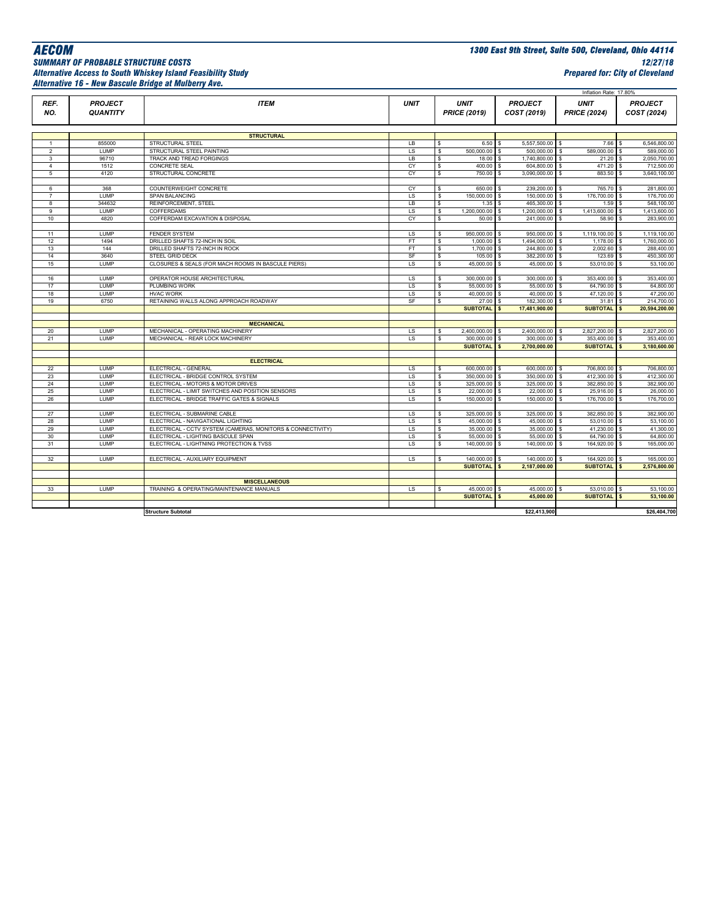## *Alternative Access to South Whiskey Island Feasibility Study Prepared for: City of Cleveland Alternative 16 - New Bascule Bridge at Mulberry Ave.*

*AECOM 1300 East 9th Street, Suite 500, Cleveland, Ohio 44114 SUMMARY OF PROBABLE STRUCTURE COSTS 12/27/18*

|                |                                   |                                                                                        |             |                                          |                               | Inflation Rate: 17.80%             |                                |
|----------------|-----------------------------------|----------------------------------------------------------------------------------------|-------------|------------------------------------------|-------------------------------|------------------------------------|--------------------------------|
| REF.<br>NO.    | <b>PROJECT</b><br><b>QUANTITY</b> | <b>ITEM</b>                                                                            | <b>UNIT</b> | <b>UNIT</b><br><b>PRICE (2019)</b>       | <b>PROJECT</b><br>COST (2019) | <b>UNIT</b><br><b>PRICE (2024)</b> | <b>PROJECT</b><br>COST (2024)  |
|                |                                   |                                                                                        |             |                                          |                               |                                    |                                |
|                |                                   | <b>STRUCTURAL</b>                                                                      |             |                                          |                               |                                    |                                |
| $\mathbf{1}$   | 855000                            | STRUCTURAL STEEL                                                                       | LB          | \$                                       | $6.50$ S<br>5,557,500.00 \$   | 7.66                               | 6.546.800.00                   |
| $\overline{2}$ | <b>LUMP</b>                       | STRUCTURAL STEEL PAINTING                                                              | LS          | 500,000.00<br>\$                         | 500,000.00 \$                 | 589,000.00                         | 589,000.00                     |
| 3              | 96710                             | TRACK AND TREAD FORGINGS                                                               | LB          | s                                        | 1,740,800.00 \$<br>$18.00$ \$ | $21.20$ \$                         | 2,050,700.00                   |
| $\overline{4}$ | 1512                              | CONCRETE SEAL                                                                          | CY          | s<br>400.00                              | 604,800.00 \$<br><b>S</b>     | 471.20                             | 712,500.00                     |
| 5              | 4120                              | STRUCTURAL CONCRETE                                                                    | CY          | s                                        | 750.00 \$<br>3,090,000.00 \$  | 883.50                             | 3,640,100.00<br>$\mathfrak{s}$ |
| 6              | 368                               | COUNTERWEIGHT CONCRETE                                                                 | CY          | 650.00<br>s                              | 239,200.00 \$<br>s            | 765.70                             | 281,800.00                     |
| 7              | <b>LUMP</b>                       | SPAN BALANCING                                                                         | LS          | 150,000.00 \$<br>\$                      | 150,000.00 \$                 | 176,700.00                         | 176,700.00                     |
| 8              | 344632                            | REINFORCEMENT, STEEL                                                                   | LB          | $\mathfrak s$                            | 1.35S<br>465,300.00 \$        | 1.59                               | 548,100.00                     |
| 9              | <b>LUMP</b>                       | COFFERDAMS                                                                             | LS          | s,<br>1,200,000.00 \$                    | 1,200,000.00 \$               | 1,413,600.00                       | 1,413,600.00<br>S.             |
| 10             | 4820                              | COFFERDAM EXCAVATION & DISPOSAL                                                        | CY          | 50.00<br>s                               | 241,000.00<br>s               | 58.90<br>\$                        | 283,900.00                     |
|                |                                   |                                                                                        |             |                                          |                               |                                    |                                |
| 11             | LUMP                              | <b>FENDER SYSTEM</b>                                                                   | LS          | 950,000.00<br>\$                         | 950,000.00 \$<br>s            | 1,119,100.00 \$                    | 1,119,100.00                   |
| 12             | 1494                              | DRILLED SHAFTS 72-INCH IN SOIL                                                         | FT          | $1,000.00$ \$<br>s                       | 1,494,000.00 \$               | 1,178.00                           | 1,760,000.00                   |
| 13             | 144                               | DRILLED SHAFTS 72-INCH IN ROCK                                                         | FT          | s<br>1,700.00 \$                         | 244,800.00 \$                 | 2,002.60                           | 288,400.00<br>l \$             |
| 14             | 3640                              | STEEL GRID DECK                                                                        | SF          | s<br>105.00                              | 382,200.00 \$<br>s            | 123.69                             | 450,300.00                     |
| 15             | <b>LUMP</b>                       | CLOSURES & SEALS (FOR MACH ROOMS IN BASCULE PIERS)                                     | LS          | 45,000.00<br>s                           | 45,000.00 \$<br>s             | 53,010.00                          | 53,100.00                      |
|                |                                   |                                                                                        |             |                                          |                               |                                    |                                |
| 16             | LUMP                              | OPERATOR HOUSE ARCHITECTURAL                                                           | LS          | 300,000.00 \$<br>\$                      | 300,000.00 \$                 | 353,400.00 \$                      | 353,400.00                     |
| 17<br>18       | <b>LUMP</b><br>LUMP               | PLUMBING WORK                                                                          | LS<br>LS    | 55,000.00 \$<br>s<br>40,000.00 \$<br>s   | 55,000.00<br>40,000.00 \$     | 64,790.00<br>\$<br>47,120.00       | 64,800.00<br>\$.<br>47,200.00  |
| 19             | 6750                              | <b>HVAC WORK</b><br>RETAINING WALLS ALONG APPROACH ROADWAY                             | SF          | s<br>27.00                               | 182,300.00                    | 31.81<br><b>S</b>                  | 214.700.00                     |
|                |                                   |                                                                                        |             | <b>SUBTOTAL</b>                          | 17,481,900.00                 | <b>SUBTOTAL</b>                    | 20,594,200.00                  |
|                |                                   |                                                                                        |             |                                          |                               |                                    |                                |
|                |                                   | <b>MECHANICAL</b>                                                                      |             |                                          |                               |                                    |                                |
| 20             | LUMP                              | MECHANICAL - OPERATING MACHINERY                                                       | LS          | 2,400,000.00 \$<br>\$                    | 2,400,000.00 \$               | 2,827,200.00                       | 2,827,200.00                   |
| 21             | LUMP                              | MECHANICAL - REAR LOCK MACHINERY                                                       | LS.         | 300,000.00 \$<br>\$                      | 300,000.00 \$                 | 353,400.00                         | 353,400.00<br><sub>S</sub>     |
|                |                                   |                                                                                        |             | SUBTOTAL <sup>S</sup>                    | 2,700,000.00                  | <b>SUBTOTAL</b>                    | 3,180,600.00                   |
|                |                                   |                                                                                        |             |                                          |                               |                                    |                                |
|                |                                   | <b>ELECTRICAL</b>                                                                      |             |                                          |                               |                                    |                                |
| 22             | LUMP                              | ELECTRICAL - GENERAL                                                                   | LS.         | 600,000.00 \$<br>\$                      | 600,000.00 \$                 | 706,800.00                         | 706,800.00                     |
| 23             | LUMP                              | ELECTRICAL - BRIDGE CONTROL SYSTEM                                                     | LS.         | \$<br>350,000.00 \$                      | 350,000.00 \$                 | 412,300.00                         | 412,300.00<br><sub>S</sub>     |
| 24<br>25       | LUMP<br><b>LUMP</b>               | ELECTRICAL - MOTORS & MOTOR DRIVES<br>ELECTRICAL - LIMIT SWITCHES AND POSITION SENSORS | LS.<br>LS   | 325,000.00 \$<br>\$<br>22,000.00 \$<br>s | 325,000.00 \$<br>22,000.00 \$ | 382,850.00 \$<br>25,916.00 \$      | 382,900.00<br>26,000.00        |
| 26             | <b>LUMP</b>                       | ELECTRICAL - BRIDGE TRAFFIC GATES & SIGNALS                                            | LS          | \$<br>150,000.00 \$                      | 150,000.00 \$                 | 176,700.00                         | 176,700.00                     |
|                |                                   |                                                                                        |             |                                          |                               |                                    |                                |
| 27             | LUMP                              | ELECTRICAL - SUBMARINE CABLE                                                           | LS          | 325,000.00<br>\$                         | 325,000.00<br>s               | 382,850.00<br>- S                  | 382,900.00                     |
| 28             | <b>LUMP</b>                       | ELECTRICAL - NAVIGATIONAL LIGHTING                                                     | LS          | 45,000.00 \$<br>s                        | 45,000.00 \$                  | 53,010.00                          | 53,100.00                      |
| 29             | LUMP                              | ELECTRICAL - CCTV SYSTEM (CAMERAS, MONITORS & CONNECTIVITY)                            | LS.         | s<br>35,000.00 \$                        | 35,000.00 \$                  | 41,230.00 \$                       | 41,300.00                      |
| 30             | LUMP                              | ELECTRICAL - LIGHTING BASCULE SPAN                                                     | LS          | s<br>55,000.00 \$                        | 55,000.00 \$                  | 64,790.00                          | 64.800.00<br>-S                |
| 31             | LUMP                              | ELECTRICAL - LIGHTNING PROTECTION & TVSS                                               | LS          | \$<br>140,000.00 \$                      | 140,000.00 \$                 | 164,920.00 \$                      | 165,000.00                     |
|                |                                   |                                                                                        |             |                                          |                               |                                    |                                |
| 32             | LUMP                              | ELECTRICAL - AUXILIARY EQUIPMENT                                                       | LS.         | 140,000.00 \$<br>\$                      | 140,000.00 \$                 | 164,920.00                         | 165,000.00<br>\$               |
|                |                                   |                                                                                        |             | <b>SUBTOTAL</b>                          | 2,187,000.00<br>s             | <b>SUBTOTAL</b>                    | 2,576,800.00                   |
|                |                                   |                                                                                        |             |                                          |                               |                                    |                                |
|                |                                   | <b>MISCELLANEOUS</b>                                                                   |             |                                          |                               |                                    |                                |
| 33             | LUMP                              | TRAINING & OPERATING/MAINTENANCE MANUALS                                               | LS.         | 45,000.00 \$<br>s                        | 45,000.00                     | \$<br>53,010.00                    | 53,100.00                      |
|                |                                   |                                                                                        |             | SUBTOTAL \$                              | 45,000.00                     | <b>SUBTOTAL</b>                    | 53,100.00                      |
|                |                                   | <b>Structure Subtotal</b>                                                              |             |                                          | \$22,413,900                  |                                    | \$26,404,700                   |
|                |                                   |                                                                                        |             |                                          |                               |                                    |                                |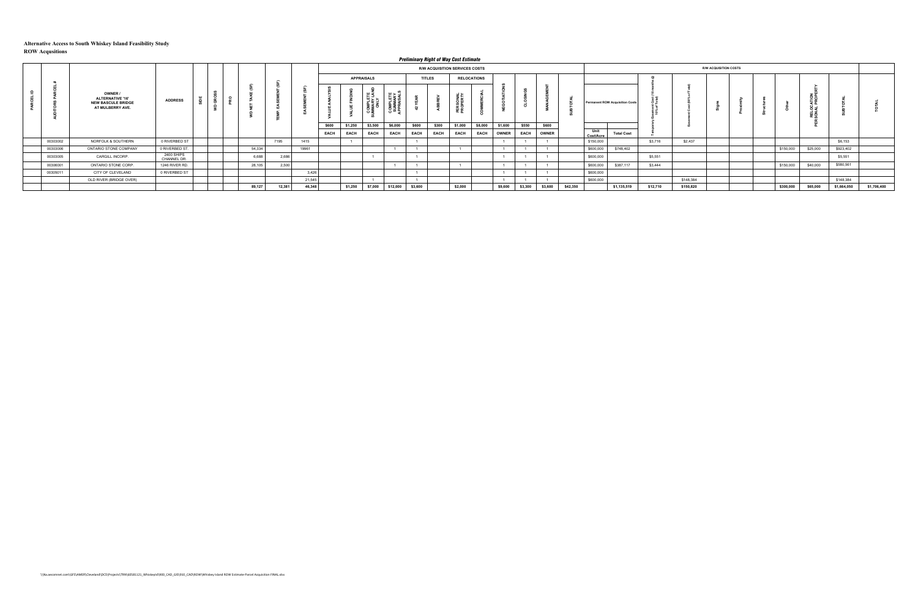|          |                                                                                     |                           |   |        |        |        |       |                   |             |          |             |               | <b>Preliminary Right of Way Cost Estimate</b> |                    |              |             |              |          |                   |                                        |          |           |                              |  |           |          |             |             |
|----------|-------------------------------------------------------------------------------------|---------------------------|---|--------|--------|--------|-------|-------------------|-------------|----------|-------------|---------------|-----------------------------------------------|--------------------|--------------|-------------|--------------|----------|-------------------|----------------------------------------|----------|-----------|------------------------------|--|-----------|----------|-------------|-------------|
|          |                                                                                     |                           |   |        |        |        |       |                   |             |          |             |               | R/W ACQUISITION SERVICES COSTS                |                    |              |             |              |          |                   |                                        |          |           | <b>R/W ACQUISITION COSTS</b> |  |           |          |             |             |
|          |                                                                                     |                           |   |        |        |        |       | <b>APPRAISALS</b> |             |          |             | <b>TITLES</b> |                                               | <b>RELOCATIONS</b> |              |             |              |          |                   |                                        |          |           |                              |  |           |          |             |             |
|          | OWNER /<br><b>ALTERNATIVE '16'</b><br><b>NEW BASCULE BRIDGE</b><br>AT MULBERRY AVE. | <b>ADDRESS</b>            | ಀ |        |        |        |       |                   |             | 유무       |             |               |                                               |                    |              |             |              |          |                   | <b>Permanent ROW Acquisition Costs</b> |          |           |                              |  |           | o        |             |             |
|          |                                                                                     |                           |   |        |        |        | \$600 | \$1,250           | \$3,500     | \$6,000  | \$600       | \$300         | \$1,000                                       | \$8,000            | \$1,600      | \$550       | \$600        |          |                   |                                        |          |           |                              |  |           |          |             |             |
|          |                                                                                     |                           |   |        |        |        | EACH  | <b>EACH</b>       | <b>EACH</b> | EACH     | <b>EACH</b> | EACH          | <b>EACH</b>                                   | <b>EACH</b>        | <b>OWNER</b> | <b>EACH</b> | <b>OWNER</b> |          | Unit<br>Cost/Acre | <b>Total Cost</b>                      |          |           |                              |  |           |          |             |             |
| 00303002 | NORFOLK & SOUTHERN                                                                  | 0 RIVERBED ST             |   |        | 7195   | 1415   |       |                   |             |          |             |               |                                               |                    |              |             |              |          | \$150,000         |                                        | \$3,716  | \$2.437   |                              |  |           |          | \$6,153     |             |
| 00303006 | ONTARIO STONE COMPANY                                                               | 0 RIVERBED ST.            |   | 54,334 |        | 19961  |       |                   |             |          |             |               |                                               |                    |              |             |              |          | \$600,000         | \$748,402                              |          |           |                              |  | \$150,000 | \$25,000 | \$923,402   |             |
| 00303005 | CARGILL INCORP.                                                                     | 2400 SHIPS<br>CHANNEL DR. |   | 6,688  | 2,686  |        |       |                   |             |          |             |               |                                               |                    |              |             |              |          | \$600,000         |                                        | \$5,551  |           |                              |  |           |          | \$5,551     |             |
| 00306001 | ONTARIO STONE CORP.                                                                 | 1246 RIVER RD.            |   | 28,105 | 2,500  |        |       |                   |             |          |             |               |                                               |                    |              |             |              |          | \$600,000         | \$387,117                              | \$3,444  |           |                              |  | \$150,000 | \$40,000 | \$580,561   |             |
| 00305011 | CITY OF CLEVELAND                                                                   | 0 RIVERBED ST             |   |        |        | 3,426  |       |                   |             |          |             |               |                                               |                    |              |             |              |          | \$600,000         |                                        |          |           |                              |  |           |          |             |             |
|          | OLD RIVER (BRIDGE OVER)                                                             |                           |   |        |        | 21,54  |       |                   |             |          |             |               |                                               |                    |              |             |              |          | \$600,000         |                                        |          | \$148,384 |                              |  |           |          | \$148,384   |             |
|          |                                                                                     |                           |   | 89,127 | 12,381 | 46,348 |       | \$1,250           | \$7,000     | \$12,000 | \$3,600     |               | \$2,000                                       |                    | \$9,600      | \$3,300     | \$3,600      | \$42,350 |                   | \$1,135,519                            | \$12,710 | \$150,820 |                              |  | \$300,000 | \$65,000 | \$1,664,050 | \$1,706,400 |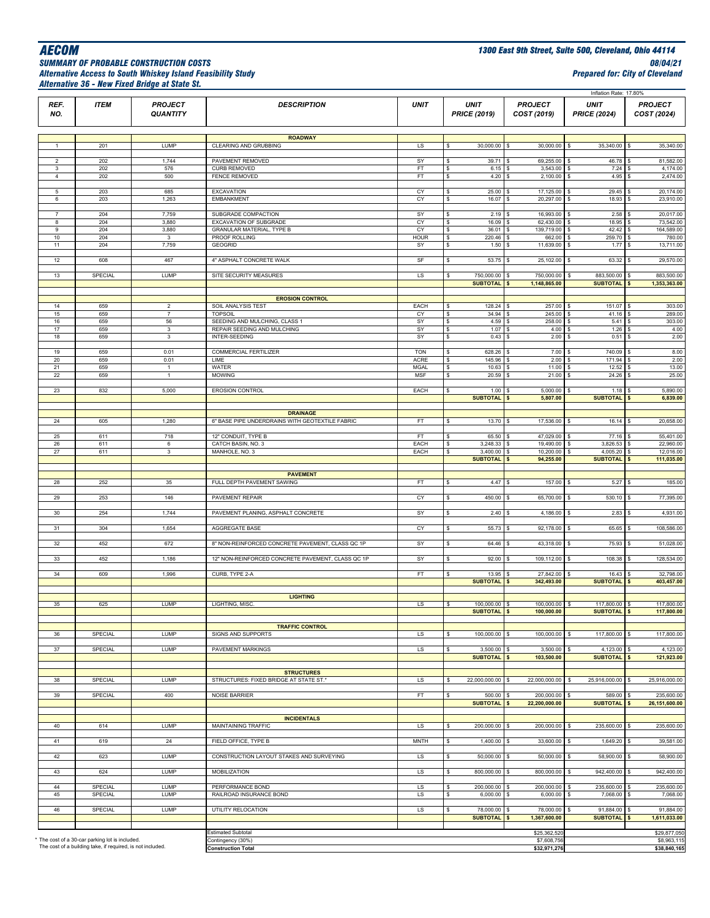### *SUMMARY OF PROBABLE CONSTRUCTION COSTS 08/04/21 Alternative Access to South Whiskey Island Feasibility Study Prepared for: City of Cleveland Alternative 36 - New Fixed Bridge at State St.*

|                     |                                                                                                               |                                   |                                                            |              |                                    |                                      | Inflation Rate: 17.80%                       |                                                              |
|---------------------|---------------------------------------------------------------------------------------------------------------|-----------------------------------|------------------------------------------------------------|--------------|------------------------------------|--------------------------------------|----------------------------------------------|--------------------------------------------------------------|
| REF.<br>NO.         | <b>ITEM</b>                                                                                                   | <b>PROJECT</b><br><b>QUANTITY</b> | <b>DESCRIPTION</b>                                         | <b>UNIT</b>  | <b>UNIT</b><br><b>PRICE (2019)</b> | <b>PROJECT</b><br>COST (2019)        | <b>UNIT</b><br><b>PRICE (2024)</b>           | <b>PROJECT</b><br>COST (2024)                                |
|                     |                                                                                                               |                                   |                                                            |              |                                    |                                      |                                              |                                                              |
|                     |                                                                                                               |                                   | <b>ROADWAY</b>                                             |              |                                    |                                      |                                              |                                                              |
| $\overline{1}$      | 201                                                                                                           | LUMP                              | CLEARING AND GRUBBING                                      | LS           | 30,000.00<br>s                     | 30,000.00                            | 35,340.00<br>$\mathbf{s}$                    | 35,340.00<br>s                                               |
| $\overline{2}$      | 202                                                                                                           | 1,744                             | PAVEMENT REMOVED                                           | SY           | 39.71<br>\$                        | 69,255.00<br>s                       | 46.78<br>s                                   | 81,582.00<br>\$                                              |
| 3<br>$\overline{4}$ | 202<br>202                                                                                                    | 576<br>500                        | <b>CURB REMOVED</b><br><b>FENCE REMOVED</b>                | FT<br>FT     | \$<br>6.15<br>\$<br>4.20           | 3,543.00<br>2,100.00                 | 7.24<br>$\sqrt{5}$<br>4.95<br>\$             | 4,174.00<br>$\mathfrak{s}$<br>2,474.00<br>\$                 |
|                     |                                                                                                               |                                   |                                                            |              |                                    |                                      |                                              |                                                              |
| 5                   | 203                                                                                                           | 685                               | <b>EXCAVATION</b>                                          | CY           | 25.00<br>\$                        | 17,125.00                            | 29.45<br>-S                                  | 20,174.00                                                    |
| 6                   | 203                                                                                                           | 1,263                             | <b>EMBANKMENT</b>                                          | CY           | \$<br>16.07                        | 20,297.00<br><b>s</b>                | 18.93<br>s                                   | 23,910.00<br>\$                                              |
| $\overline{7}$      | 204                                                                                                           | 7,759                             | SUBGRADE COMPACTION                                        | SY           | 2.19<br>\$                         | 16,993.00                            | 2.58<br>\$                                   | 20,017.00                                                    |
| 8<br>9              | 204<br>204                                                                                                    | 3,880<br>3,880                    | EXCAVATION OF SUBGRADE<br><b>GRANULAR MATERIAL, TYPE B</b> | CY<br>CY     | 16.09<br>\$<br>36.01<br>\$         | 62,430.00<br>139,719.00              | 18.95<br>۱s<br>42.42<br><b>S</b>             | 73,542.00<br>164,589.00<br>S.                                |
| 10                  | 204                                                                                                           | 3                                 | PROOF ROLLING                                              | <b>HOUR</b>  | \$<br>220.46                       | 662.00                               | 259.70<br>s                                  | 780.00<br>\$                                                 |
| 11                  | 204                                                                                                           | 7,759                             | <b>GEOGRID</b>                                             | SY           | \$.<br>1.50                        | 11,639.00                            | 1.77<br>$\mathbf{s}$                         | 13,711.00<br>\$                                              |
| 12                  | 608                                                                                                           | 467                               | 4" ASPHALT CONCRETE WALK                                   | SF           | 53.75<br>\$                        | 25,102.00<br>l S                     | 63.32<br><b>s</b>                            | 29,570.00<br>-S                                              |
| 13                  | SPECIAL                                                                                                       | LUMP                              | SITE SECURITY MEASURES                                     | LS           | 750,000.00<br>\$                   | 750,000.00                           | 883,500.00<br>\$                             | 883,500.00<br>\$                                             |
|                     |                                                                                                               |                                   |                                                            |              | <b>SUBTOTAL</b>                    | 1,148,865.00                         | <b>SUBTOTAL</b>                              | 1,353,363.00<br>S                                            |
|                     |                                                                                                               |                                   | <b>EROSION CONTROL</b>                                     |              |                                    |                                      |                                              |                                                              |
| 14                  | 659                                                                                                           | $\overline{2}$                    | SOIL ANALYSIS TEST                                         | EACH         | 128.24<br>\$                       | 257.00                               | 151.07<br>-S                                 | 303.00<br>l \$                                               |
| 15<br>16            | 659<br>659                                                                                                    | $\overline{7}$<br>56              | <b>TOPSOIL</b><br>SEEDING AND MULCHING, CLASS 1            | CY<br>SY     | 34.94<br>\$<br>\$<br>4.59          | 245.00<br>$\mathsf{S}$<br>258.00     | 41.16<br>$\mathsf{s}$<br>\$<br>5.41          | 289.00<br>\$<br>303.00<br>$\mathfrak{s}$                     |
| 17                  | 659                                                                                                           | $\mathbf 3$                       | REPAIR SEEDING AND MULCHING                                | SY           | \$<br>1.07                         | 4.00                                 | 1.26                                         | 4.00                                                         |
| 18                  | 659                                                                                                           | $\mathbf{3}$                      | INTER-SEEDING                                              | SY           | \$<br>0.43                         | 2.00<br>-S                           | 0.51<br>$\mathbf{s}$                         | 2.00<br>S.                                                   |
| 19                  | 659                                                                                                           | 0.01                              | <b>COMMERCIAL FERTILIZER</b>                               | <b>TON</b>   | 628.26<br>\$                       | 7.00                                 | 740.09<br>s                                  | 8.00<br>$\mathbf{s}$                                         |
| 20                  | 659                                                                                                           | 0.01                              | LIME                                                       | <b>ACRE</b>  | \$<br>145.96                       | 2.00                                 | 171.94<br><b>s</b>                           | 2.00                                                         |
| 21                  | 659                                                                                                           | $\mathbf{1}$                      | WATER                                                      | <b>MGAL</b>  | \$<br>10.63                        | 11.00                                | 12.52                                        | 13.00                                                        |
| 22                  | 659                                                                                                           | $\overline{1}$                    | <b>MOWING</b>                                              | <b>MSF</b>   | \$<br>20.59                        | 21.00                                | 24.26<br>s                                   | 25.00<br>-S                                                  |
| 23                  | 832                                                                                                           | 5,000                             | <b>EROSION CONTROL</b>                                     | EACH         | 1.00<br>\$                         | 5,000.00                             | 1.18                                         | 5,890.00<br>\$                                               |
|                     |                                                                                                               |                                   |                                                            |              | <b>SUBTOTAL</b>                    | 5,807.00                             | <b>SUBTOTAL</b>                              | 6,839.00                                                     |
|                     |                                                                                                               |                                   | <b>DRAINAGE</b>                                            |              |                                    |                                      |                                              |                                                              |
| 24                  | 605                                                                                                           | 1,280                             | 6" BASE PIPE UNDERDRAINS WITH GEOTEXTILE FABRIC            | FT           | 13.70<br>\$                        | 17,536.00                            | 16.14<br>l S                                 | 20,658.00<br>-S                                              |
| 25                  | 611                                                                                                           | 718                               | 12" CONDUIT, TYPE B                                        | FT           | 65.50<br>\$                        | 47,029.00                            | 77.16<br>s                                   | 55,401.00                                                    |
| 26<br>27            | 611<br>611                                                                                                    | 6<br>$\mathbf{3}$                 | CATCH BASIN, NO. 3<br>MANHOLE, NO. 3                       | EACH<br>EACH | 3,248.33<br>s<br>\$<br>3,400.00    | 19,490.00<br>10,200.00               | 3,826.53<br>4,005.20<br>$\mathbf{s}$         | 22,960.00<br>12,016.00<br>S.                                 |
|                     |                                                                                                               |                                   |                                                            |              | <b>SUBTOTAL</b>                    | 94,255.00                            | <b>SUBTOTAL</b>                              | 111,035.00<br>$\mathbf{s}$                                   |
|                     |                                                                                                               |                                   | <b>PAVEMENT</b>                                            |              |                                    |                                      |                                              |                                                              |
| 28                  | 252                                                                                                           | 35                                | FULL DEPTH PAVEMENT SAWING                                 | FT.          | 4.47<br>\$                         | 157.00                               | 5.27                                         | 185.00<br>s.                                                 |
|                     |                                                                                                               |                                   |                                                            |              |                                    |                                      |                                              |                                                              |
| 29                  | 253                                                                                                           | 146                               | PAVEMENT REPAIR                                            | CY           | 450.00<br>\$                       | 65,700.00                            | 530.10                                       | 77,395.00<br>S                                               |
| 30                  | 254                                                                                                           | 1,744                             | PAVEMENT PLANING, ASPHALT CONCRETE                         | SY           | \$<br>2.40                         | 4,186.00                             | 2.83<br>\$                                   | 4,931.00<br>S                                                |
| 31                  | 304                                                                                                           | 1,654                             | AGGREGATE BASE                                             | CY           | \$<br>55.73                        | 92,178.00                            | 65.65<br>l s                                 | 108,586.00<br>S.                                             |
|                     |                                                                                                               |                                   |                                                            |              |                                    |                                      |                                              |                                                              |
| 32                  | 452                                                                                                           | 672                               | 8" NON-REINFORCED CONCRETE PAVEMENT, CLASS QC 1P           | SY           | \$<br>64.46                        | 43.318.00                            | 75.93                                        | 51,028.00<br>\$                                              |
| 33                  | 452                                                                                                           | 1,186                             | 12" NON-REINFORCED CONCRETE PAVEMENT, CLASS QC 1P          | SY           | 92.00<br>\$                        | 109,112.00                           | 108.38<br>s                                  | 128,534.00                                                   |
|                     |                                                                                                               |                                   |                                                            |              |                                    |                                      |                                              |                                                              |
| 34                  | 609                                                                                                           | 1,996                             | CURB, TYPE 2-A                                             | FT.          | 13.95<br>\$<br><b>SUBTOTAL</b>     | 27,842.00<br>342,493.00              | 16.43<br><b>SUBTOTAL</b>                     | 32,798.00<br>s<br>403,457.00<br>$\mathbf{s}$                 |
|                     |                                                                                                               |                                   |                                                            |              |                                    |                                      |                                              |                                                              |
| 35                  | 625                                                                                                           | <b>LUMP</b>                       | <b>LIGHTING</b><br>LIGHTING, MISC.                         | LS           | 100,000.00 \$<br>\$                | 100,000.00 \$                        | 117,800.00 \$                                | 117,800.00                                                   |
|                     |                                                                                                               |                                   |                                                            |              | <b>SUBTOTAL</b> S                  | 100,000.00                           | SUBJUIAL \$                                  | 117,800.00                                                   |
|                     |                                                                                                               |                                   |                                                            |              |                                    |                                      |                                              |                                                              |
| 36                  | SPECIAL                                                                                                       | LUMP                              | <b>TRAFFIC CONTROL</b><br>SIGNS AND SUPPORTS               | LS           | 100,000.00 \$<br>\$                | 100,000.00 \$                        | 117,800.00 \$                                | 117,800.00                                                   |
|                     |                                                                                                               |                                   |                                                            |              |                                    |                                      |                                              |                                                              |
| 37                  | SPECIAL                                                                                                       | LUMP                              | <b>PAVEMENT MARKINGS</b>                                   | LS           | 3,500.00<br>s<br><b>SUBTOTAL</b>   | l s<br>3,500.00<br>103,500.00<br>l s | 4,123.00<br><b>SUBTOTAL</b>                  | 4,123.00<br>$\sqrt{3}$<br>121,923.00<br>$\sim$               |
|                     |                                                                                                               |                                   |                                                            |              |                                    |                                      |                                              |                                                              |
|                     |                                                                                                               |                                   | <b>STRUCTURES</b>                                          |              |                                    |                                      |                                              |                                                              |
| 38                  | SPECIAL                                                                                                       | LUMP                              | STRUCTURES: FIXED BRIDGE AT STATE ST.*                     | LS           | 22,000,000.00<br>\$                | 22,000,000.00<br>-S                  | 25,916,000.00<br>s                           | 25,916,000.00<br>\$                                          |
| 39                  | SPECIAL                                                                                                       | 400                               | <b>NOISE BARRIER</b>                                       | FT           | 500.00<br>\$                       | 200,000.00                           | 589.00                                       | 235,600.00<br>-S                                             |
|                     |                                                                                                               |                                   |                                                            |              | <b>SUBTOTAL</b>                    | 22,200,000.00                        | <b>SUBTOTAL</b>                              | 26, 151, 600.00<br>$\boldsymbol{\mathsf{s}}$                 |
|                     |                                                                                                               |                                   | <b>INCIDENTALS</b>                                         |              |                                    |                                      |                                              |                                                              |
| 40                  | 614                                                                                                           | LUMP                              | MAINTAINING TRAFFIC                                        | LS           | 200,000.00<br>\$                   | 200,000.00                           | 235,600.00<br>$\mathbf{s}$                   | 235,600.00<br>\$                                             |
| 41                  | 619                                                                                                           | 24                                | FIELD OFFICE, TYPE B                                       | <b>MNTH</b>  | 1,400.00<br>s                      | 33,600.00                            | 1,649.20                                     | 39,581.00<br>\$                                              |
|                     |                                                                                                               |                                   |                                                            |              |                                    |                                      |                                              |                                                              |
| 42                  | 623                                                                                                           | LUMP                              | CONSTRUCTION LAYOUT STAKES AND SURVEYING                   | LS           | 50,000.00<br>s                     | 50,000.00                            | 58,900.00<br>\$                              | 58,900.00<br>\$                                              |
| 43                  | 624                                                                                                           | <b>LUMP</b>                       | MOBILIZATION                                               | LS           | 800,000.00 \$<br>\$                | 800,000.00                           | 942,400.00<br><b>S</b>                       | 942,400.00<br>- S                                            |
|                     |                                                                                                               |                                   |                                                            |              |                                    |                                      |                                              |                                                              |
| 44<br>45            | SPECIAL<br>SPECIAL                                                                                            | LUMP<br>LUMP                      | PERFORMANCE BOND<br>RAILROAD INSURANCE BOND                | LS<br>LS     | 200,000.00<br>\$<br>6,000.00<br>s  | 200,000.00<br><b>S</b><br>6,000.00   | 235,600.00<br>\$<br>7,068.00<br>\$           | 235,600.00<br>$\sqrt{3}$<br>7,068.00<br>\$                   |
|                     |                                                                                                               |                                   |                                                            |              |                                    |                                      |                                              |                                                              |
| 46                  | SPECIAL                                                                                                       | <b>LUMP</b>                       | UTILITY RELOCATION                                         | LS           | 78,000.00<br>\$<br><b>SUBTOTAL</b> | 78,000.00<br>l s<br>1,367,600.00     | 91,884.00<br>$\mathbf{s}$<br><b>SUBTOTAL</b> | 91,884.00<br>\$<br>1,611,033.00<br>$\boldsymbol{\mathsf{s}}$ |
|                     |                                                                                                               |                                   |                                                            |              |                                    |                                      |                                              |                                                              |
|                     |                                                                                                               |                                   | <b>Estimated Subtotal</b>                                  |              |                                    | \$25,362,520                         |                                              | \$29,877,050                                                 |
|                     | * The cost of a 30-car parking lot is included.<br>The cost of a building take, if required, is not included. |                                   | Contingency (30%)<br><b>Construction Total</b>             |              |                                    | \$7,608,756<br>\$32,971,276          |                                              | \$8,963,115<br>\$38,840,165                                  |
|                     |                                                                                                               |                                   |                                                            |              |                                    |                                      |                                              |                                                              |